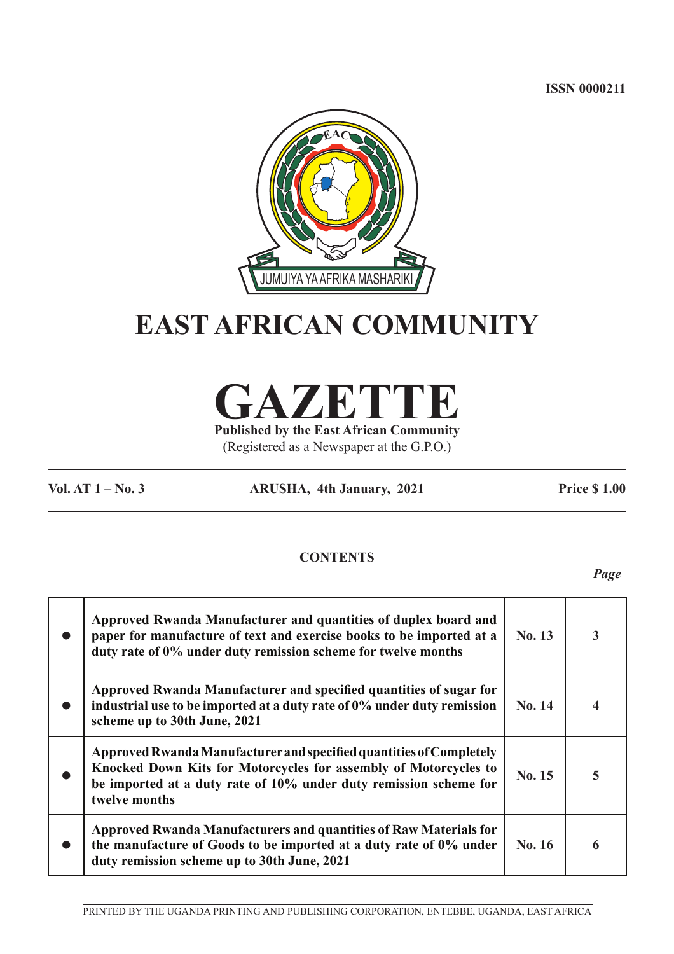**ISSN 0000211**



# **EAST AFRICAN COMMUNITY**

**GAZETTE**

**Published by the East African Community** (Registered as a Newspaper at the G.P.O.)

**Vol. AT 1 – No. 3 ARUSHA, 4th January, 2021 Price \$ 1.00**

# **CONTENTS**

*Page*

| Approved Rwanda Manufacturer and quantities of duplex board and<br>paper for manufacture of text and exercise books to be imported at a<br>duty rate of 0% under duty remission scheme for twelve months                      | No. 13 | 3 |
|-------------------------------------------------------------------------------------------------------------------------------------------------------------------------------------------------------------------------------|--------|---|
| Approved Rwanda Manufacturer and specified quantities of sugar for<br>industrial use to be imported at a duty rate of 0% under duty remission<br>scheme up to 30th June, 2021                                                 | No. 14 | 4 |
| Approved Rwanda Manufacturer and specified quantities of Completely<br>Knocked Down Kits for Motorcycles for assembly of Motorcycles to<br>be imported at a duty rate of 10% under duty remission scheme for<br>twelve months | No. 15 | 5 |
| Approved Rwanda Manufacturers and quantities of Raw Materials for<br>the manufacture of Goods to be imported at a duty rate of 0% under<br>duty remission scheme up to 30th June, 2021                                        | No. 16 | 6 |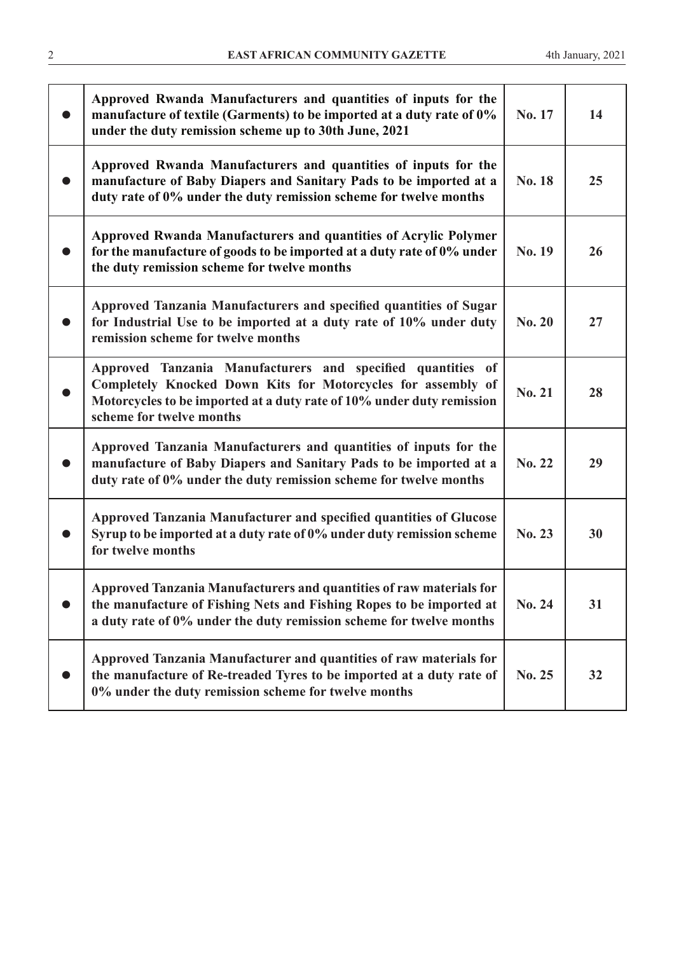| Approved Rwanda Manufacturers and quantities of inputs for the<br>manufacture of textile (Garments) to be imported at a duty rate of 0%<br>under the duty remission scheme up to 30th June, 2021                                 | No. 17        | 14 |
|----------------------------------------------------------------------------------------------------------------------------------------------------------------------------------------------------------------------------------|---------------|----|
| Approved Rwanda Manufacturers and quantities of inputs for the<br>manufacture of Baby Diapers and Sanitary Pads to be imported at a<br>duty rate of 0% under the duty remission scheme for twelve months                         | No. 18        | 25 |
| Approved Rwanda Manufacturers and quantities of Acrylic Polymer<br>for the manufacture of goods to be imported at a duty rate of 0% under<br>the duty remission scheme for twelve months                                         | No. 19        | 26 |
| Approved Tanzania Manufacturers and specified quantities of Sugar<br>for Industrial Use to be imported at a duty rate of 10% under duty<br>remission scheme for twelve months                                                    | <b>No. 20</b> | 27 |
| Approved Tanzania Manufacturers and specified quantities of<br>Completely Knocked Down Kits for Motorcycles for assembly of<br>Motorcycles to be imported at a duty rate of 10% under duty remission<br>scheme for twelve months | <b>No. 21</b> | 28 |
| Approved Tanzania Manufacturers and quantities of inputs for the<br>manufacture of Baby Diapers and Sanitary Pads to be imported at a<br>duty rate of 0% under the duty remission scheme for twelve months                       | No. 22        | 29 |
| Approved Tanzania Manufacturer and specified quantities of Glucose<br>Syrup to be imported at a duty rate of 0% under duty remission scheme<br>for twelve months                                                                 | No. 23        | 30 |
| <b>Approved Tanzania Manufacturers and quantities of raw materials for</b><br>the manufacture of Fishing Nets and Fishing Ropes to be imported at<br>a duty rate of 0% under the duty remission scheme for twelve months         | No. 24        | 31 |
| Approved Tanzania Manufacturer and quantities of raw materials for<br>the manufacture of Re-treaded Tyres to be imported at a duty rate of<br>0% under the duty remission scheme for twelve months                               | No. 25        | 32 |
|                                                                                                                                                                                                                                  |               |    |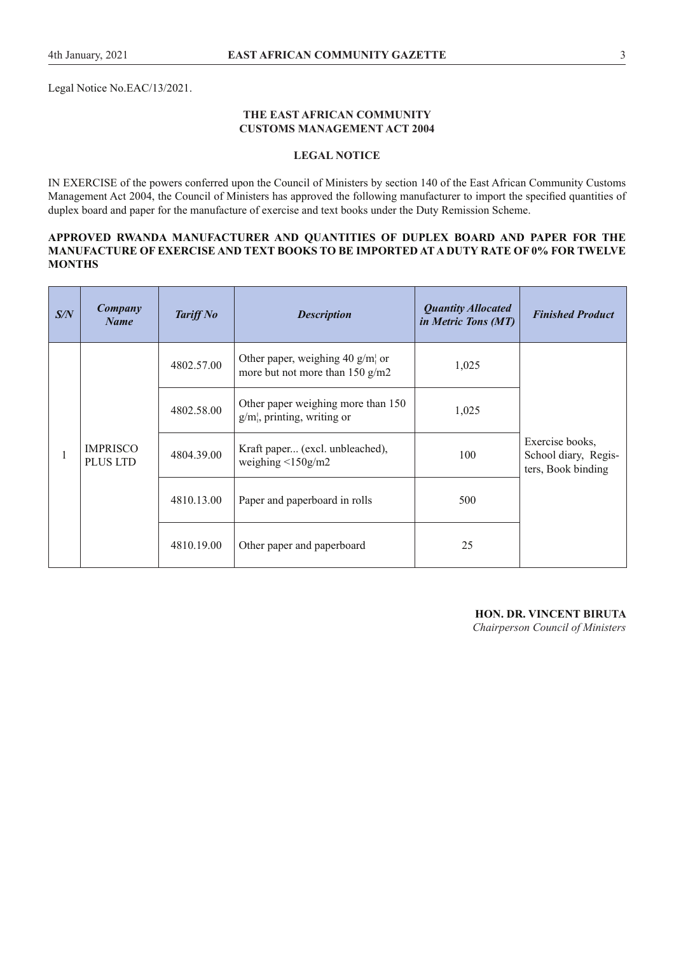Legal Notice No.EAC/13/2021.

#### **THE EAST AFRICAN COMMUNITY CUSTOMS MANAGEMENT ACT 2004**

#### **LEGAL NOTICE**

IN EXERCISE of the powers conferred upon the Council of Ministers by section 140 of the East African Community Customs Management Act 2004, the Council of Ministers has approved the following manufacturer to import the specifed quantities of duplex board and paper for the manufacture of exercise and text books under the Duty Remission Scheme.

#### **APPROVED RWANDA MANUFACTURER AND QUANTITIES OF DUPLEX BOARD AND PAPER FOR THE MANUFACTURE OF EXERCISE AND TEXT BOOKS TO BE IMPORTED AT A DUTY RATE OF 0% FOR TWELVE MONTHS**

| S/N | Company<br><b>Name</b>             | <b>Tariff No</b> | <b>Description</b>                                                     | <b>Quantity Allocated</b><br>in Metric Tons (MT) | <b>Finished Product</b>                                       |
|-----|------------------------------------|------------------|------------------------------------------------------------------------|--------------------------------------------------|---------------------------------------------------------------|
|     | <b>IMPRISCO</b><br><b>PLUS LTD</b> | 4802.57.00       | Other paper, weighing 40 $g/m$ or<br>more but not more than $150$ g/m2 | 1,025                                            |                                                               |
|     |                                    | 4802.58.00       | Other paper weighing more than 150<br>$g/m$ , printing, writing or     | 1,025                                            |                                                               |
|     |                                    | 4804.39.00       | Kraft paper (excl. unbleached),<br>weighing $\leq 150$ g/m2            | 100                                              | Exercise books,<br>School diary, Regis-<br>ters, Book binding |
|     |                                    | 4810.13.00       | Paper and paperboard in rolls                                          | 500                                              |                                                               |
|     |                                    | 4810.19.00       | Other paper and paperboard                                             | 25                                               |                                                               |

**HON. DR. VINCENT BIRUTA**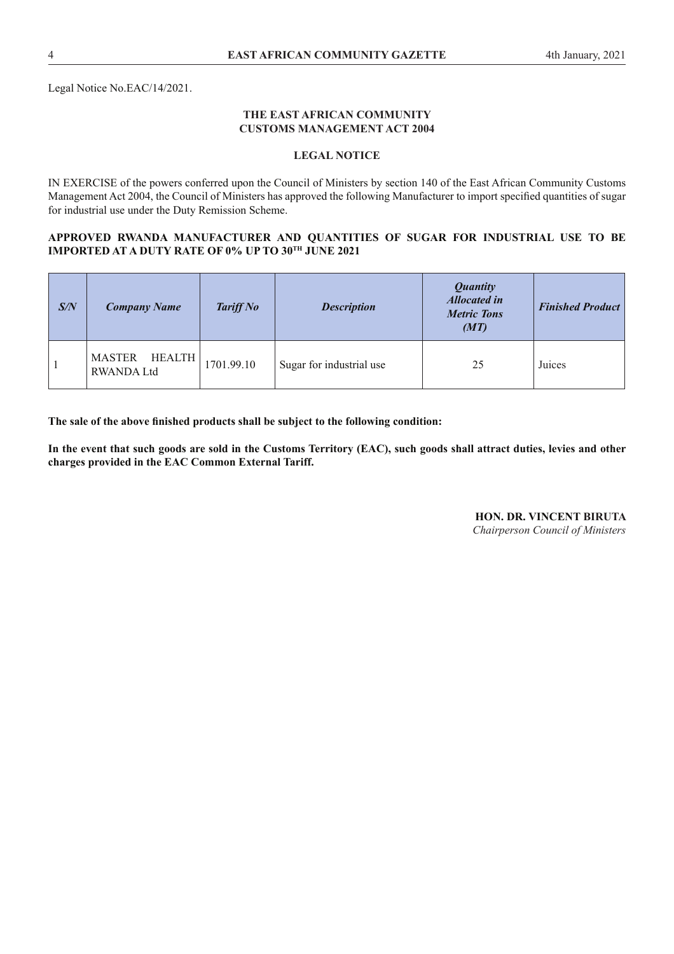Legal Notice No.EAC/14/2021.

#### **THE EAST AFRICAN COMMUNITY CUSTOMS MANAGEMENT ACT 2004**

#### **LEGAL NOTICE**

IN EXERCISE of the powers conferred upon the Council of Ministers by section 140 of the East African Community Customs Management Act 2004, the Council of Ministers has approved the following Manufacturer to import specifed quantities of sugar for industrial use under the Duty Remission Scheme.

#### **APPROVED RWANDA MANUFACTURER AND QUANTITIES OF SUGAR FOR INDUSTRIAL USE TO BE IMPORTED AT A DUTY RATE OF 0% UP TO 30TH JUNE 2021**

| S/N | <b>Company Name</b>                            | Tariff No  | <b>Description</b>       | <b>Quantity</b><br><b>Allocated in</b><br><b>Metric Tons</b><br>(MT) | <b>Finished Product</b> |
|-----|------------------------------------------------|------------|--------------------------|----------------------------------------------------------------------|-------------------------|
|     | <b>MASTER</b><br>HEALTH  <br><b>RWANDA Ltd</b> | 1701.99.10 | Sugar for industrial use | 25                                                                   | Juices                  |

**The sale of the above fnished products shall be subject to the following condition:**

**In the event that such goods are sold in the Customs Territory (EAC), such goods shall attract duties, levies and other charges provided in the EAC Common External Tariff.** 

> **HON. DR. VINCENT BIRUTA** *Chairperson Council of Ministers*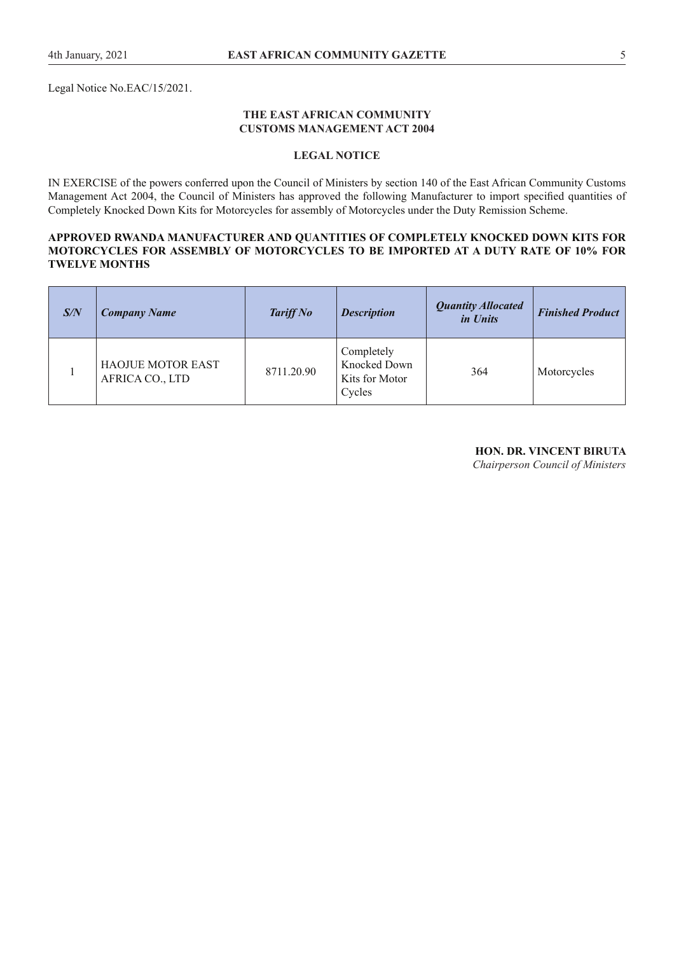Legal Notice No.EAC/15/2021.

#### **THE EAST AFRICAN COMMUNITY CUSTOMS MANAGEMENT ACT 2004**

#### **LEGAL NOTICE**

IN EXERCISE of the powers conferred upon the Council of Ministers by section 140 of the East African Community Customs Management Act 2004, the Council of Ministers has approved the following Manufacturer to import specifed quantities of Completely Knocked Down Kits for Motorcycles for assembly of Motorcycles under the Duty Remission Scheme.

#### **APPROVED RWANDA MANUFACTURER AND QUANTITIES OF COMPLETELY KNOCKED DOWN KITS FOR MOTORCYCLES FOR ASSEMBLY OF MOTORCYCLES TO BE IMPORTED AT A DUTY RATE OF 10% FOR TWELVE MONTHS**

| S/N | <b>Company Name</b>                         | <b>Tariff No</b> | <b>Description</b>                                     | <b>Quantity Allocated</b><br>in Units | <b>Finished Product</b> |
|-----|---------------------------------------------|------------------|--------------------------------------------------------|---------------------------------------|-------------------------|
|     | <b>HAOJUE MOTOR EAST</b><br>AFRICA CO., LTD | 8711.20.90       | Completely<br>Knocked Down<br>Kits for Motor<br>Cycles | 364                                   | Motorcycles             |

#### **HON. DR. VINCENT BIRUTA**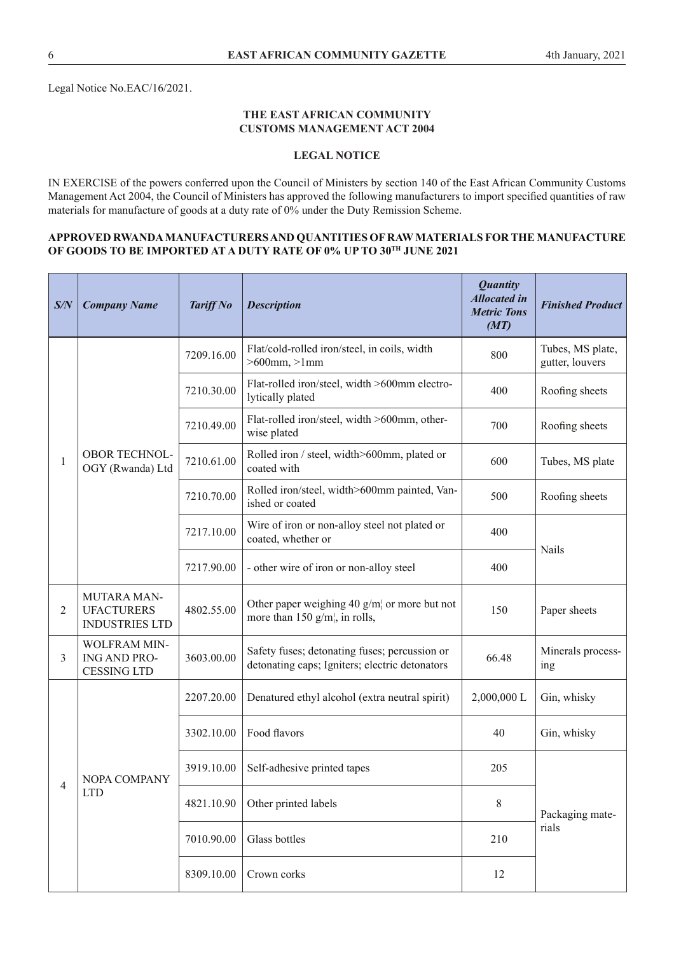#### **THE EAST AFRICAN COMMUNITY CUSTOMS MANAGEMENT ACT 2004**

## **LEGAL NOTICE**

IN EXERCISE of the powers conferred upon the Council of Ministers by section 140 of the East African Community Customs Management Act 2004, the Council of Ministers has approved the following manufacturers to import specifed quantities of raw materials for manufacture of goods at a duty rate of 0% under the Duty Remission Scheme.

## **APPROVED RWANDA MANUFACTURERS AND QUANTITIES OF RAW MATERIALS FOR THE MANUFACTURE OF GOODS TO BE IMPORTED AT A DUTY RATE OF 0% UP TO 30TH JUNE 2021**

| S/N            | <b>Company Name</b>                                       | <b>Tariff No</b> | <b>Description</b>                                                                              | <b>Quantity</b><br><b>Allocated in</b><br><b>Metric Tons</b><br>(MT) | <b>Finished Product</b>             |
|----------------|-----------------------------------------------------------|------------------|-------------------------------------------------------------------------------------------------|----------------------------------------------------------------------|-------------------------------------|
|                |                                                           | 7209.16.00       | Flat/cold-rolled iron/steel, in coils, width<br>$>600$ mm, $>1$ mm                              | 800                                                                  | Tubes, MS plate,<br>gutter, louvers |
|                |                                                           | 7210.30.00       | Flat-rolled iron/steel, width >600mm electro-<br>lytically plated                               | 400                                                                  | Roofing sheets                      |
|                |                                                           | 7210.49.00       | Flat-rolled iron/steel, width >600mm, other-<br>wise plated                                     | 700                                                                  | Roofing sheets                      |
| 1              | <b>OBOR TECHNOL-</b><br>OGY (Rwanda) Ltd                  | 7210.61.00       | Rolled iron / steel, width>600mm, plated or<br>coated with                                      | 600                                                                  | Tubes, MS plate                     |
|                |                                                           | 7210.70.00       | Rolled iron/steel, width>600mm painted, Van-<br>ished or coated                                 | 500                                                                  | Roofing sheets                      |
|                |                                                           | 7217.10.00       | Wire of iron or non-alloy steel not plated or<br>coated, whether or                             | 400                                                                  | <b>Nails</b>                        |
|                |                                                           | 7217.90.00       | - other wire of iron or non-alloy steel                                                         | 400                                                                  |                                     |
| $\overline{2}$ | MUTARA MAN-<br><b>UFACTURERS</b><br><b>INDUSTRIES LTD</b> | 4802.55.00       | Other paper weighing 40 $g/m$ or more but not<br>more than 150 $g/m_l$ , in rolls,              | 150                                                                  | Paper sheets                        |
| 3              | WOLFRAM MIN-<br>ING AND PRO-<br><b>CESSING LTD</b>        | 3603.00.00       | Safety fuses; detonating fuses; percussion or<br>detonating caps; Igniters; electric detonators | 66.48                                                                | Minerals process-<br>ing            |
|                |                                                           | 2207.20.00       | Denatured ethyl alcohol (extra neutral spirit)                                                  | 2,000,000 L                                                          | Gin, whisky                         |
|                |                                                           | 3302.10.00       | Food flavors                                                                                    | 40                                                                   | Gin, whisky                         |
| 4              | NOPA COMPANY                                              | 3919.10.00       | Self-adhesive printed tapes                                                                     | 205                                                                  |                                     |
|                | <b>LTD</b>                                                | 4821.10.90       | Other printed labels                                                                            | $8\,$                                                                | Packaging mate-                     |
|                |                                                           | 7010.90.00       | Glass bottles                                                                                   | 210                                                                  | rials                               |
|                |                                                           | 8309.10.00       | Crown corks                                                                                     | 12                                                                   |                                     |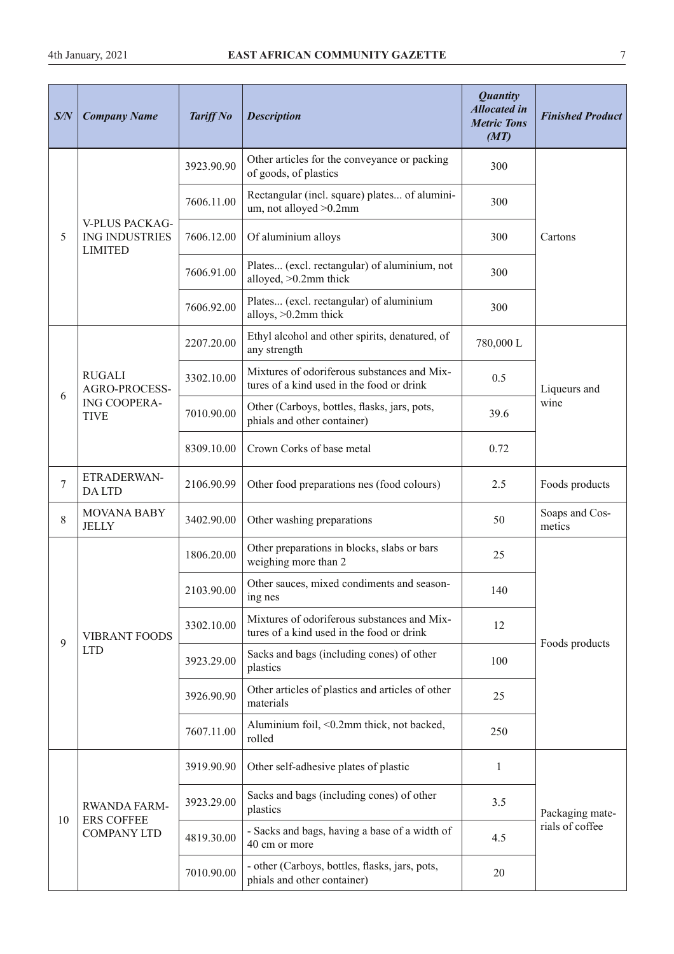| S/N | <b>Company Name</b>                                              | <b>Tariff No</b> | <b>Description</b>                                                                       | <b>Quantity</b><br><b>Allocated</b> in<br><b>Metric Tons</b><br>(MT) | <b>Finished Product</b>  |
|-----|------------------------------------------------------------------|------------------|------------------------------------------------------------------------------------------|----------------------------------------------------------------------|--------------------------|
|     |                                                                  | 3923.90.90       | Other articles for the conveyance or packing<br>of goods, of plastics                    | 300                                                                  |                          |
|     |                                                                  | 7606.11.00       | Rectangular (incl. square) plates of alumini-<br>um, not alloyed > 0.2mm                 | 300                                                                  |                          |
| 5   | <b>V-PLUS PACKAG-</b><br><b>ING INDUSTRIES</b><br><b>LIMITED</b> | 7606.12.00       | Of aluminium alloys                                                                      | 300                                                                  | Cartons                  |
|     |                                                                  | 7606.91.00       | Plates (excl. rectangular) of aluminium, not<br>alloyed, >0.2mm thick                    | 300                                                                  |                          |
|     |                                                                  | 7606.92.00       | Plates (excl. rectangular) of aluminium<br>alloys, $>0.2$ mm thick                       | 300                                                                  |                          |
|     |                                                                  | 2207.20.00       | Ethyl alcohol and other spirits, denatured, of<br>any strength                           | 780,000L                                                             |                          |
|     | <b>RUGALI</b><br>AGRO-PROCESS-                                   | 3302.10.00       | Mixtures of odoriferous substances and Mix-<br>tures of a kind used in the food or drink | 0.5                                                                  | Liqueurs and             |
| 6   | ING COOPERA-<br><b>TIVE</b>                                      | 7010.90.00       | Other (Carboys, bottles, flasks, jars, pots,<br>phials and other container)              | 39.6                                                                 | wine                     |
|     |                                                                  | 8309.10.00       | Crown Corks of base metal                                                                | 0.72                                                                 |                          |
| 7   | ETRADERWAN-<br><b>DALTD</b>                                      | 2106.90.99       | Other food preparations nes (food colours)                                               | 2.5                                                                  | Foods products           |
| 8   | <b>MOVANA BABY</b><br><b>JELLY</b>                               | 3402.90.00       | Other washing preparations                                                               | 50                                                                   | Soaps and Cos-<br>metics |
|     |                                                                  | 1806.20.00       | Other preparations in blocks, slabs or bars<br>weighing more than 2                      | 25                                                                   |                          |
|     |                                                                  | 2103.90.00       | Other sauces, mixed condiments and season-<br>ing nes                                    | 140                                                                  |                          |
|     | <b>VIBRANT FOODS</b>                                             | 3302.10.00       | Mixtures of odoriferous substances and Mix-<br>tures of a kind used in the food or drink | 12                                                                   |                          |
| 9   | <b>LTD</b>                                                       | 3923.29.00       | Sacks and bags (including cones) of other<br>plastics                                    | 100                                                                  | Foods products           |
|     |                                                                  | 3926.90.90       | Other articles of plastics and articles of other<br>materials                            | 25                                                                   |                          |
|     |                                                                  | 7607.11.00       | Aluminium foil, <0.2mm thick, not backed,<br>rolled                                      | 250                                                                  |                          |
|     |                                                                  | 3919.90.90       | Other self-adhesive plates of plastic                                                    | $\mathbf{1}$                                                         |                          |
|     | RWANDA FARM-                                                     | 3923.29.00       | Sacks and bags (including cones) of other<br>plastics                                    | 3.5                                                                  | Packaging mate-          |
| 10  | <b>ERS COFFEE</b><br><b>COMPANY LTD</b>                          | 4819.30.00       | - Sacks and bags, having a base of a width of<br>40 cm or more                           | 4.5                                                                  | rials of coffee          |
|     |                                                                  | 7010.90.00       | - other (Carboys, bottles, flasks, jars, pots,<br>phials and other container)            | 20                                                                   |                          |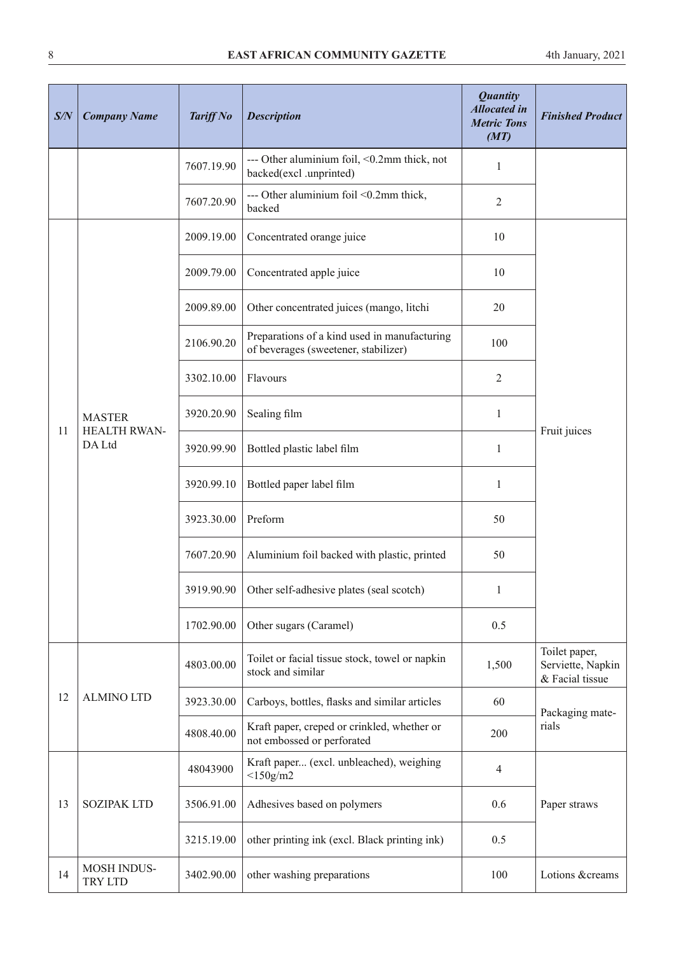| S/N | <b>Company Name</b>                            | <b>Tariff No</b> | <b>Description</b>                                                                   | <b>Quantity</b><br><b>Allocated</b> in<br><b>Metric Tons</b><br>(MT) | <b>Finished Product</b>                               |
|-----|------------------------------------------------|------------------|--------------------------------------------------------------------------------------|----------------------------------------------------------------------|-------------------------------------------------------|
|     |                                                | 7607.19.90       | --- Other aluminium foil, <0.2mm thick, not<br>backed(excl .unprinted)               | $\mathbf{1}$                                                         |                                                       |
|     |                                                | 7607.20.90       | --- Other aluminium foil <0.2mm thick,<br>backed                                     | $\overline{c}$                                                       |                                                       |
|     |                                                | 2009.19.00       | Concentrated orange juice                                                            | 10                                                                   |                                                       |
|     |                                                | 2009.79.00       | Concentrated apple juice                                                             | 10                                                                   |                                                       |
|     |                                                | 2009.89.00       | Other concentrated juices (mango, litchi                                             | 20                                                                   |                                                       |
|     |                                                | 2106.90.20       | Preparations of a kind used in manufacturing<br>of beverages (sweetener, stabilizer) | 100                                                                  |                                                       |
|     |                                                | 3302.10.00       | Flavours                                                                             | $\overline{c}$                                                       |                                                       |
|     | <b>MASTER</b><br><b>HEALTH RWAN-</b><br>DA Ltd | 3920.20.90       | Sealing film                                                                         | $\mathbf{1}$                                                         |                                                       |
| 11  |                                                | 3920.99.90       | Bottled plastic label film                                                           | $\mathbf{1}$                                                         | Fruit juices                                          |
|     |                                                | 3920.99.10       | Bottled paper label film                                                             | $\mathbf{1}$                                                         |                                                       |
|     |                                                | 3923.30.00       | Preform                                                                              | 50                                                                   |                                                       |
|     |                                                | 7607.20.90       | Aluminium foil backed with plastic, printed                                          | 50                                                                   |                                                       |
|     |                                                | 3919.90.90       | Other self-adhesive plates (seal scotch)                                             |                                                                      |                                                       |
|     |                                                | 1702.90.00       | Other sugars (Caramel)                                                               | 0.5                                                                  |                                                       |
|     |                                                | 4803.00.00       | Toilet or facial tissue stock, towel or napkin<br>stock and similar                  | 1,500                                                                | Toilet paper,<br>Serviette, Napkin<br>& Facial tissue |
| 12  | <b>ALMINO LTD</b>                              | 3923.30.00       | Carboys, bottles, flasks and similar articles                                        | 60                                                                   | Packaging mate-                                       |
|     |                                                | 4808.40.00       | Kraft paper, creped or crinkled, whether or<br>not embossed or perforated            | 200                                                                  | rials                                                 |
| 13  |                                                | 48043900         | Kraft paper (excl. unbleached), weighing<br>$<$ 150g/m2                              | 4                                                                    |                                                       |
|     | <b>SOZIPAK LTD</b>                             | 3506.91.00       | Adhesives based on polymers                                                          | 0.6                                                                  | Paper straws                                          |
|     |                                                | 3215.19.00       | other printing ink (excl. Black printing ink)                                        | 0.5                                                                  |                                                       |
| 14  | <b>MOSH INDUS-</b><br>TRY LTD                  | 3402.90.00       | other washing preparations                                                           | 100                                                                  | Lotions &creams                                       |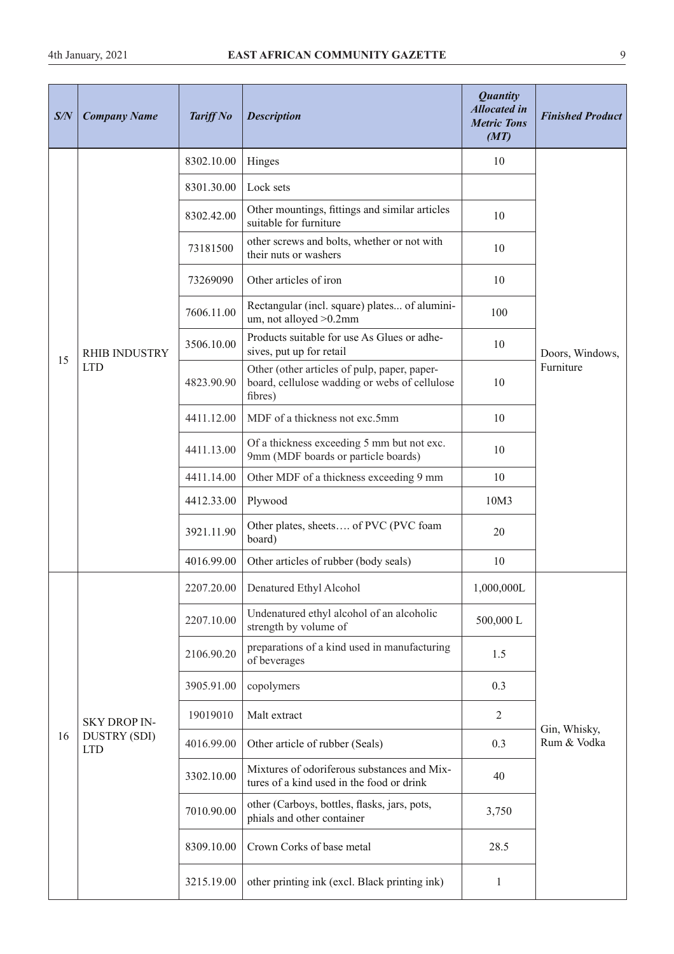| S/N | <b>Company Name</b>               | <b>Tariff No</b> | <b>Description</b>                                                                                       | <b>Quantity</b><br><b>Allocated</b> in<br><b>Metric Tons</b><br>(MT) | <b>Finished Product</b>     |
|-----|-----------------------------------|------------------|----------------------------------------------------------------------------------------------------------|----------------------------------------------------------------------|-----------------------------|
|     |                                   | 8302.10.00       | Hinges                                                                                                   | 10                                                                   |                             |
|     |                                   | 8301.30.00       | Lock sets                                                                                                |                                                                      |                             |
|     |                                   | 8302.42.00       | Other mountings, fittings and similar articles<br>suitable for furniture                                 | 10                                                                   |                             |
|     |                                   | 73181500         | other screws and bolts, whether or not with<br>their nuts or washers                                     | 10                                                                   |                             |
|     |                                   | 73269090         | Other articles of iron                                                                                   | 10                                                                   |                             |
|     |                                   | 7606.11.00       | Rectangular (incl. square) plates of alumini-<br>um, not alloyed > 0.2mm                                 | 100                                                                  |                             |
| 15  | <b>RHIB INDUSTRY</b>              | 3506.10.00       | Products suitable for use As Glues or adhe-<br>sives, put up for retail                                  | 10                                                                   | Doors, Windows,             |
|     | <b>LTD</b>                        | 4823.90.90       | Other (other articles of pulp, paper, paper-<br>board, cellulose wadding or webs of cellulose<br>fibres) | 10                                                                   | Furniture                   |
|     |                                   | 4411.12.00       | MDF of a thickness not exc.5mm                                                                           | 10                                                                   |                             |
|     |                                   | 4411.13.00       | Of a thickness exceeding 5 mm but not exc.<br>9mm (MDF boards or particle boards)                        | 10                                                                   |                             |
|     |                                   | 4411.14.00       | Other MDF of a thickness exceeding 9 mm                                                                  | 10                                                                   |                             |
|     |                                   | 4412.33.00       | Plywood                                                                                                  | 10M3                                                                 |                             |
|     |                                   | 3921.11.90       | Other plates, sheets of PVC (PVC foam<br>board)                                                          | 20                                                                   |                             |
|     |                                   | 4016.99.00       | Other articles of rubber (body seals)                                                                    | 10                                                                   |                             |
|     |                                   |                  | 2207.20.00   Denatured Ethyl Alcohol                                                                     | 1,000,000L                                                           |                             |
|     |                                   | 2207.10.00       | Undenatured ethyl alcohol of an alcoholic<br>strength by volume of                                       | 500,000L                                                             |                             |
|     |                                   | 2106.90.20       | preparations of a kind used in manufacturing<br>of beverages                                             | 1.5                                                                  |                             |
|     |                                   | 3905.91.00       | copolymers                                                                                               | 0.3                                                                  |                             |
|     | <b>SKY DROP IN-</b>               | 19019010         | Malt extract                                                                                             | $\overline{2}$                                                       |                             |
| 16  | <b>DUSTRY (SDI)</b><br><b>LTD</b> | 4016.99.00       | Other article of rubber (Seals)                                                                          | 0.3                                                                  | Gin, Whisky,<br>Rum & Vodka |
|     |                                   | 3302.10.00       | Mixtures of odoriferous substances and Mix-<br>tures of a kind used in the food or drink                 | 40                                                                   |                             |
|     |                                   | 7010.90.00       | other (Carboys, bottles, flasks, jars, pots,<br>phials and other container                               | 3,750                                                                |                             |
|     |                                   | 8309.10.00       | Crown Corks of base metal                                                                                | 28.5                                                                 |                             |
|     |                                   | 3215.19.00       | other printing ink (excl. Black printing ink)                                                            | $\mathbf{1}$                                                         |                             |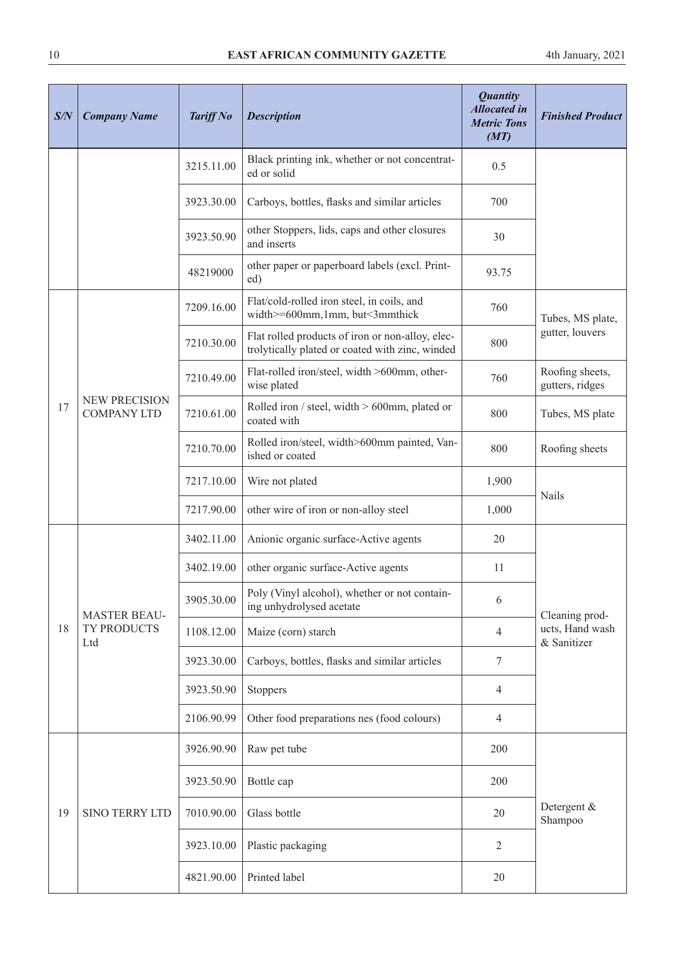| S/N | <b>Company Name</b>                        | <b>Tariff No</b> | <b>Description</b>                                                                                  | <b>Quantity</b><br><b>Allocated</b> in<br><b>Metric Tons</b><br>(MT) | <b>Finished Product</b>            |
|-----|--------------------------------------------|------------------|-----------------------------------------------------------------------------------------------------|----------------------------------------------------------------------|------------------------------------|
|     |                                            | 3215.11.00       | Black printing ink, whether or not concentrat-<br>ed or solid                                       | 0.5                                                                  |                                    |
|     |                                            | 3923.30.00       | Carboys, bottles, flasks and similar articles                                                       | 700                                                                  |                                    |
|     |                                            | 3923.50.90       | other Stoppers, lids, caps and other closures<br>and inserts                                        | 30                                                                   |                                    |
|     |                                            | 48219000         | other paper or paperboard labels (excl. Print-<br>ed)                                               | 93.75                                                                |                                    |
|     |                                            | 7209.16.00       | Flat/cold-rolled iron steel, in coils, and<br>width>=600mm,1mm, but<3mmthick                        | 760                                                                  | Tubes, MS plate,                   |
|     |                                            | 7210.30.00       | Flat rolled products of iron or non-alloy, elec-<br>trolytically plated or coated with zinc, winded | 800                                                                  | gutter, louvers                    |
|     |                                            | 7210.49.00       | Flat-rolled iron/steel, width >600mm, other-<br>wise plated                                         | 760                                                                  | Roofing sheets,<br>gutters, ridges |
| 17  | <b>NEW PRECISION</b><br><b>COMPANY LTD</b> | 7210.61.00       | Rolled iron / steel, width $> 600$ mm, plated or<br>coated with                                     | 800                                                                  | Tubes, MS plate                    |
|     |                                            | 7210.70.00       | Rolled iron/steel, width>600mm painted, Van-<br>ished or coated                                     | 800                                                                  | Roofing sheets                     |
|     |                                            | 7217.10.00       | Wire not plated                                                                                     | 1,900                                                                |                                    |
|     |                                            | 7217.90.00       | other wire of iron or non-alloy steel                                                               | 1,000                                                                | <b>Nails</b>                       |
|     | <b>MASTER BEAU-</b>                        | 3402.11.00       | Anionic organic surface-Active agents                                                               | 20                                                                   |                                    |
|     |                                            | 3402.19.00       | other organic surface-Active agents                                                                 | 11                                                                   |                                    |
|     |                                            | 3905.30.00       | Poly (Vinyl alcohol), whether or not contain-<br>ing unhydrolysed acetate                           | 6                                                                    | Cleaning prod-                     |
| 18  | TY PRODUCTS<br>Ltd                         | 1108.12.00       | Maize (corn) starch                                                                                 | $\overline{4}$                                                       | ucts, Hand wash<br>& Sanitizer     |
|     |                                            | 3923.30.00       | Carboys, bottles, flasks and similar articles                                                       | $\boldsymbol{7}$                                                     |                                    |
|     |                                            | 3923.50.90       | Stoppers                                                                                            | $\overline{4}$                                                       |                                    |
|     |                                            | 2106.90.99       | Other food preparations nes (food colours)                                                          | $\overline{4}$                                                       |                                    |
|     |                                            | 3926.90.90       | Raw pet tube                                                                                        | 200                                                                  |                                    |
|     |                                            | 3923.50.90       | Bottle cap                                                                                          | 200                                                                  |                                    |
| 19  | <b>SINO TERRY LTD</b>                      | 7010.90.00       | Glass bottle                                                                                        | 20                                                                   | Detergent &<br>Shampoo             |
|     |                                            | 3923.10.00       | Plastic packaging                                                                                   | $\overline{2}$                                                       |                                    |
|     |                                            | 4821.90.00       | Printed label                                                                                       | 20                                                                   |                                    |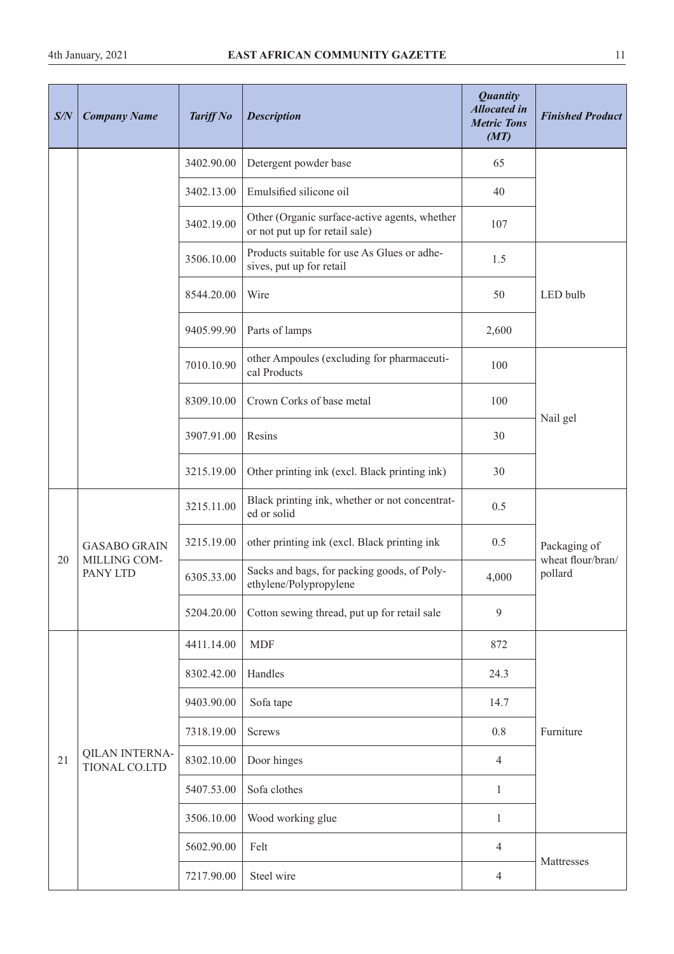| S/N | <b>Company Name</b>                             | <b>Tariff No</b> | <b>Description</b>                                                              | <b>Quantity</b><br><b>Allocated in</b><br><b>Metric Tons</b><br>(MT) | <b>Finished Product</b>      |
|-----|-------------------------------------------------|------------------|---------------------------------------------------------------------------------|----------------------------------------------------------------------|------------------------------|
|     |                                                 | 3402.90.00       | Detergent powder base                                                           | 65                                                                   |                              |
|     |                                                 | 3402.13.00       | Emulsified silicone oil                                                         | 40                                                                   |                              |
|     |                                                 | 3402.19.00       | Other (Organic surface-active agents, whether<br>or not put up for retail sale) | 107                                                                  |                              |
|     |                                                 | 3506.10.00       | Products suitable for use As Glues or adhe-<br>sives, put up for retail         | 1.5                                                                  |                              |
|     |                                                 | 8544.20.00       | Wire                                                                            | 50                                                                   | LED bulb                     |
|     |                                                 | 9405.99.90       | Parts of lamps                                                                  | 2,600                                                                |                              |
|     |                                                 | 7010.10.90       | other Ampoules (excluding for pharmaceuti-<br>cal Products                      | 100                                                                  |                              |
|     |                                                 | 8309.10.00       | Crown Corks of base metal                                                       | 100                                                                  |                              |
|     |                                                 | 3907.91.00       | Resins                                                                          | 30                                                                   | Nail gel                     |
|     |                                                 | 3215.19.00       | Other printing ink (excl. Black printing ink)                                   | 30                                                                   |                              |
|     | <b>GASABO GRAIN</b><br>MILLING COM-<br>PANY LTD | 3215.11.00       | Black printing ink, whether or not concentrat-<br>ed or solid                   | 0.5                                                                  |                              |
|     |                                                 | 3215.19.00       | other printing ink (excl. Black printing ink                                    | 0.5                                                                  | Packaging of                 |
| 20  |                                                 | 6305.33.00       | Sacks and bags, for packing goods, of Poly-<br>ethylene/Polypropylene           | 4,000                                                                | wheat flour/bran/<br>pollard |
|     |                                                 | 5204.20.00       | Cotton sewing thread, put up for retail sale                                    | 9                                                                    |                              |
|     |                                                 | 4411.14.00       | <b>MDF</b>                                                                      | 872                                                                  |                              |
|     |                                                 | 8302.42.00       | Handles                                                                         | 24.3                                                                 |                              |
|     |                                                 | 9403.90.00       | Sofa tape                                                                       | 14.7                                                                 |                              |
|     |                                                 | 7318.19.00       | Screws                                                                          | $0.8\,$                                                              | Furniture                    |
| 21  | <b>QILAN INTERNA-</b><br>TIONAL CO.LTD          | 8302.10.00       | Door hinges                                                                     | $\overline{4}$                                                       |                              |
|     |                                                 | 5407.53.00       | Sofa clothes                                                                    | $\mathbf{1}$                                                         |                              |
|     |                                                 | 3506.10.00       | Wood working glue                                                               | 1                                                                    |                              |
|     |                                                 | 5602.90.00       | Felt                                                                            | $\overline{4}$                                                       |                              |
|     |                                                 | 7217.90.00       | Steel wire                                                                      | $\overline{4}$                                                       | Mattresses                   |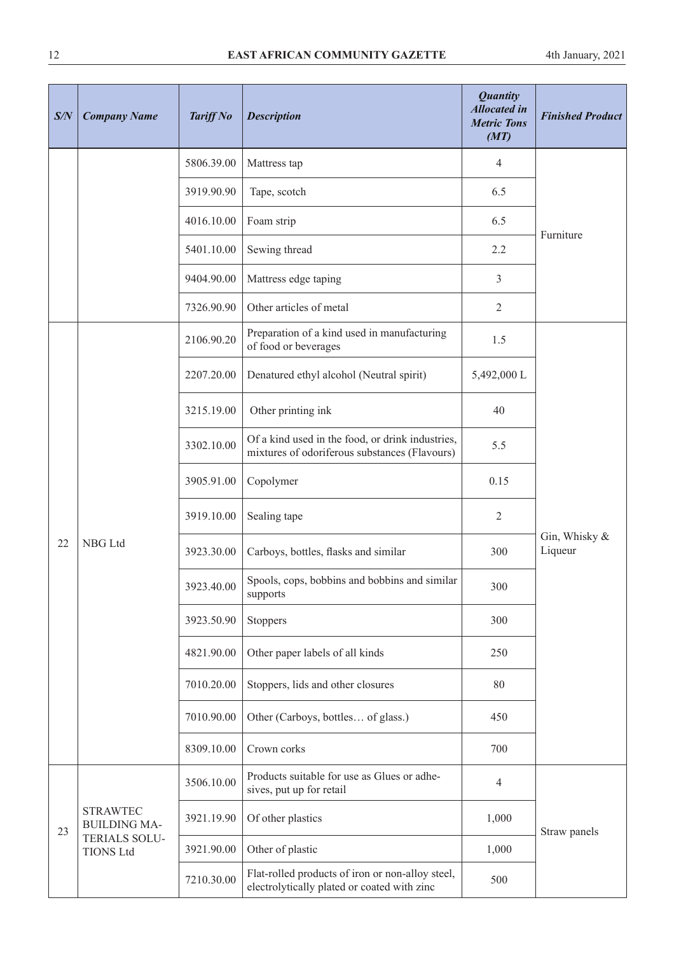| S/N | <b>Company Name</b>                      | <b>Tariff No</b> | <b>Description</b>                                                                                | <b>Quantity</b><br><b>Allocated</b> in<br><b>Metric Tons</b><br>(MT) | <b>Finished Product</b>     |
|-----|------------------------------------------|------------------|---------------------------------------------------------------------------------------------------|----------------------------------------------------------------------|-----------------------------|
|     |                                          | 5806.39.00       | Mattress tap                                                                                      | 4                                                                    |                             |
|     |                                          | 3919.90.90       | Tape, scotch                                                                                      | 6.5                                                                  |                             |
|     |                                          | 4016.10.00       | Foam strip                                                                                        | 6.5                                                                  | Furniture                   |
|     |                                          | 5401.10.00       | Sewing thread                                                                                     | 2.2                                                                  |                             |
|     |                                          | 9404.90.00       | Mattress edge taping                                                                              | 3                                                                    |                             |
|     |                                          | 7326.90.90       | Other articles of metal                                                                           | $\overline{2}$                                                       |                             |
|     |                                          | 2106.90.20       | Preparation of a kind used in manufacturing<br>of food or beverages                               | 1.5                                                                  |                             |
|     |                                          | 2207.20.00       | Denatured ethyl alcohol (Neutral spirit)                                                          | 5,492,000 L                                                          |                             |
|     | NBG Ltd                                  | 3215.19.00       | Other printing ink                                                                                | 40                                                                   |                             |
|     |                                          | 3302.10.00       | Of a kind used in the food, or drink industries,<br>mixtures of odoriferous substances (Flavours) | 5.5                                                                  |                             |
|     |                                          | 3905.91.00       | Copolymer                                                                                         | 0.15                                                                 |                             |
|     |                                          | 3919.10.00       | Sealing tape                                                                                      | $\overline{2}$                                                       |                             |
| 22  |                                          | 3923.30.00       | Carboys, bottles, flasks and similar                                                              | 300                                                                  | Gin, Whisky $\&$<br>Liqueur |
|     |                                          | 3923.40.00       | Spools, cops, bobbins and bobbins and similar<br>supports                                         | 300                                                                  |                             |
|     |                                          | 3923.50.90       | Stoppers                                                                                          | 300                                                                  |                             |
|     |                                          | 4821.90.00       | Other paper labels of all kinds                                                                   | 250                                                                  |                             |
|     |                                          | 7010.20.00       | Stoppers, lids and other closures                                                                 | 80                                                                   |                             |
|     |                                          | 7010.90.00       | Other (Carboys, bottles of glass.)                                                                | 450                                                                  |                             |
|     |                                          | 8309.10.00       | Crown corks                                                                                       | 700                                                                  |                             |
|     |                                          | 3506.10.00       | Products suitable for use as Glues or adhe-<br>sives, put up for retail                           | $\overline{4}$                                                       |                             |
| 23  | <b>STRAWTEC</b><br><b>BUILDING MA-</b>   | 3921.19.90       | Of other plastics                                                                                 | 1,000                                                                | Straw panels                |
|     | <b>TERIALS SOLU-</b><br><b>TIONS Ltd</b> | 3921.90.00       | Other of plastic                                                                                  | 1,000                                                                |                             |
|     |                                          | 7210.30.00       | Flat-rolled products of iron or non-alloy steel,<br>electrolytically plated or coated with zinc   | 500                                                                  |                             |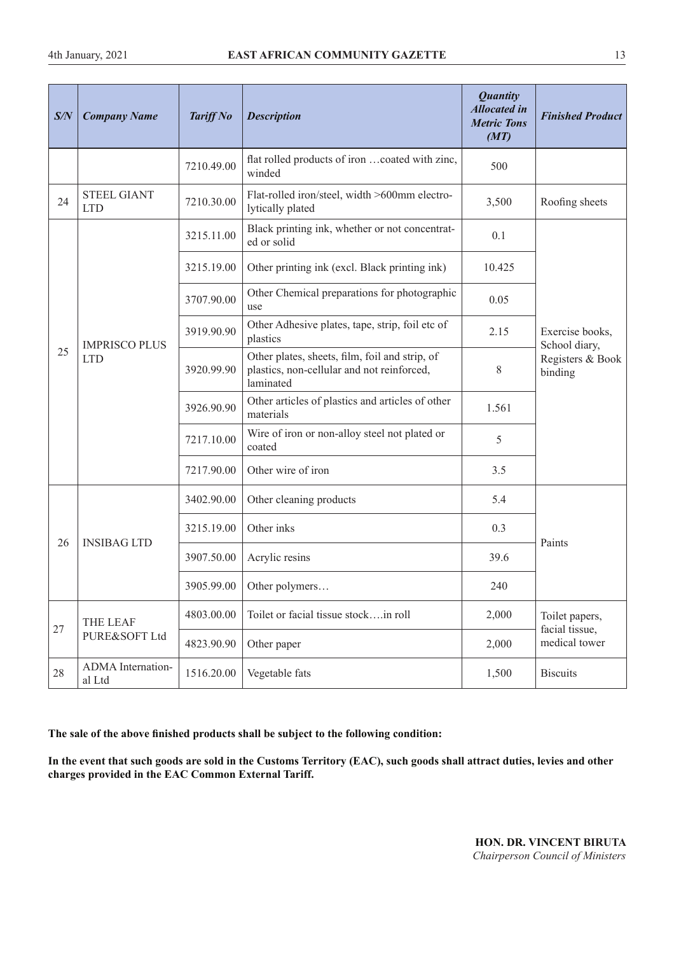| S/N    | <b>Company Name</b>                | <b>Tariff No</b> | <b>Description</b>                                                                                        | <b>Quantity</b><br><b>Allocated in</b><br><b>Metric Tons</b><br>(MT) | <b>Finished Product</b>          |
|--------|------------------------------------|------------------|-----------------------------------------------------------------------------------------------------------|----------------------------------------------------------------------|----------------------------------|
|        |                                    | 7210.49.00       | flat rolled products of iron coated with zinc,<br>winded                                                  | 500                                                                  |                                  |
| 24     | <b>STEEL GIANT</b><br><b>LTD</b>   | 7210.30.00       | Flat-rolled iron/steel, width >600mm electro-<br>lytically plated                                         | 3,500                                                                | Roofing sheets                   |
|        |                                    | 3215.11.00       | Black printing ink, whether or not concentrat-<br>ed or solid                                             | 0.1                                                                  |                                  |
|        |                                    | 3215.19.00       | Other printing ink (excl. Black printing ink)                                                             | 10.425                                                               |                                  |
|        |                                    | 3707.90.00       | Other Chemical preparations for photographic<br>use                                                       | 0.05                                                                 |                                  |
|        | <b>IMPRISCO PLUS</b><br><b>LTD</b> | 3919.90.90       | Other Adhesive plates, tape, strip, foil etc of<br>plastics                                               | 2.15                                                                 | Exercise books,<br>School diary, |
| 25     |                                    | 3920.99.90       | Other plates, sheets, film, foil and strip, of<br>plastics, non-cellular and not reinforced,<br>laminated | 8                                                                    | Registers & Book<br>binding      |
|        |                                    | 3926.90.90       | Other articles of plastics and articles of other<br>materials                                             | 1.561                                                                |                                  |
|        |                                    | 7217.10.00       | Wire of iron or non-alloy steel not plated or<br>coated                                                   | 5                                                                    |                                  |
|        |                                    | 7217.90.00       | Other wire of iron                                                                                        | 3.5                                                                  |                                  |
|        |                                    | 3402.90.00       | Other cleaning products                                                                                   | 5.4                                                                  |                                  |
|        |                                    | 3215.19.00       | Other inks                                                                                                | 0.3                                                                  |                                  |
| 26     | <b>INSIBAG LTD</b>                 | 3907.50.00       | Acrylic resins                                                                                            | 39.6                                                                 | Paints                           |
|        |                                    | 3905.99.00       | Other polymers                                                                                            | 240                                                                  |                                  |
|        | THE LEAF                           | 4803.00.00       | Toilet or facial tissue stockin roll                                                                      | 2,000                                                                | Toilet papers,                   |
| $27\,$ | PURE&SOFT Ltd                      | 4823.90.90       | Other paper                                                                                               | 2,000                                                                | facial tissue,<br>medical tower  |
| 28     | ADMA Internation-<br>al Ltd        | 1516.20.00       | Vegetable fats                                                                                            | 1,500                                                                | <b>Biscuits</b>                  |

**The sale of the above fnished products shall be subject to the following condition:**

**In the event that such goods are sold in the Customs Territory (EAC), such goods shall attract duties, levies and other charges provided in the EAC Common External Tariff.** 

**HON. DR. VINCENT BIRUTA** *Chairperson Council of Ministers*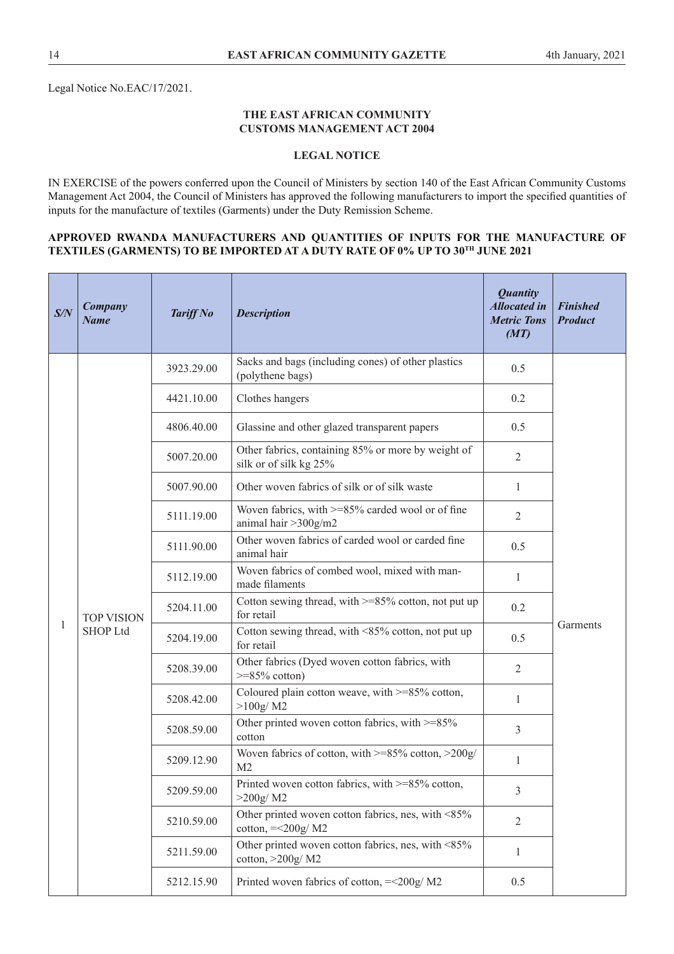#### **THE EAST AFRICAN COMMUNITY CUSTOMS MANAGEMENT ACT 2004**

## **LEGAL NOTICE**

IN EXERCISE of the powers conferred upon the Council of Ministers by section 140 of the East African Community Customs Management Act 2004, the Council of Ministers has approved the following manufacturers to import the specifed quantities of inputs for the manufacture of textiles (Garments) under the Duty Remission Scheme.

#### **APPROVED RWANDA MANUFACTURERS AND QUANTITIES OF INPUTS FOR THE MANUFACTURE OF TEXTILES (GARMENTS) TO BE IMPORTED AT A DUTY RATE OF 0% UP TO 30TH JUNE 2021**

| S/N | Company<br><b>Name</b>               | <b>Tariff No</b> | <b>Description</b>                                                           | <b>Quantity</b><br><b>Allocated in</b><br><b>Metric Tons</b><br>(MT) | <b>Finished</b><br><b>Product</b> |  |
|-----|--------------------------------------|------------------|------------------------------------------------------------------------------|----------------------------------------------------------------------|-----------------------------------|--|
|     |                                      | 3923.29.00       | Sacks and bags (including cones) of other plastics<br>(polythene bags)       | 0.5                                                                  |                                   |  |
|     |                                      | 4421.10.00       | Clothes hangers                                                              | 0.2                                                                  |                                   |  |
|     |                                      | 4806.40.00       | Glassine and other glazed transparent papers                                 | 0.5                                                                  |                                   |  |
|     |                                      | 5007.20.00       | Other fabrics, containing 85% or more by weight of<br>silk or of silk kg 25% | $\overline{2}$                                                       |                                   |  |
|     |                                      | 5007.90.00       | Other woven fabrics of silk or of silk waste                                 | 1                                                                    |                                   |  |
|     | <b>TOP VISION</b><br><b>SHOP Ltd</b> | 5111.19.00       | Woven fabrics, with >=85% carded wool or of fine<br>animal hair > 300g/m2    | $\overline{2}$                                                       |                                   |  |
|     |                                      |                  | 5111.90.00                                                                   | Other woven fabrics of carded wool or carded fine<br>animal hair     | 0.5                               |  |
|     |                                      | 5112.19.00       | Woven fabrics of combed wool, mixed with man-<br>made filaments              | 1                                                                    | Garments                          |  |
|     |                                      | 5204.11.00       | Cotton sewing thread, with $>= 85\%$ cotton, not put up<br>for retail        | 0.2                                                                  |                                   |  |
| 1   |                                      | 5204.19.00       | Cotton sewing thread, with <85% cotton, not put up<br>for retail             | 0.5                                                                  |                                   |  |
|     |                                      | 5208.39.00       | Other fabrics (Dyed woven cotton fabrics, with<br>$>=85\%$ cotton)           | $\overline{2}$                                                       |                                   |  |
|     |                                      | 5208.42.00       | Coloured plain cotton weave, with >=85% cotton,<br>>100g/M2                  | $\mathbf{1}$                                                         |                                   |  |
|     |                                      | 5208.59.00       | Other printed woven cotton fabrics, with >=85%<br>cotton                     | 3                                                                    |                                   |  |
|     |                                      | 5209.12.90       | Woven fabrics of cotton, with >=85% cotton, >200g/<br>M <sub>2</sub>         | 1                                                                    |                                   |  |
|     |                                      | 5209.59.00       | Printed woven cotton fabrics, with >=85% cotton,<br>>200g/M2                 | $\mathfrak{Z}$                                                       |                                   |  |
|     |                                      | 5210.59.00       | Other printed woven cotton fabrics, nes, with <85%<br>cotton, $=<200g/M2$    | $\overline{2}$                                                       |                                   |  |
|     |                                      | 5211.59.00       | Other printed woven cotton fabrics, nes, with <85%<br>cotton, $>200g/M2$     | $\mathbf{1}$                                                         |                                   |  |
|     |                                      | 5212.15.90       | Printed woven fabrics of cotton, = < 200g/ M2                                | 0.5                                                                  |                                   |  |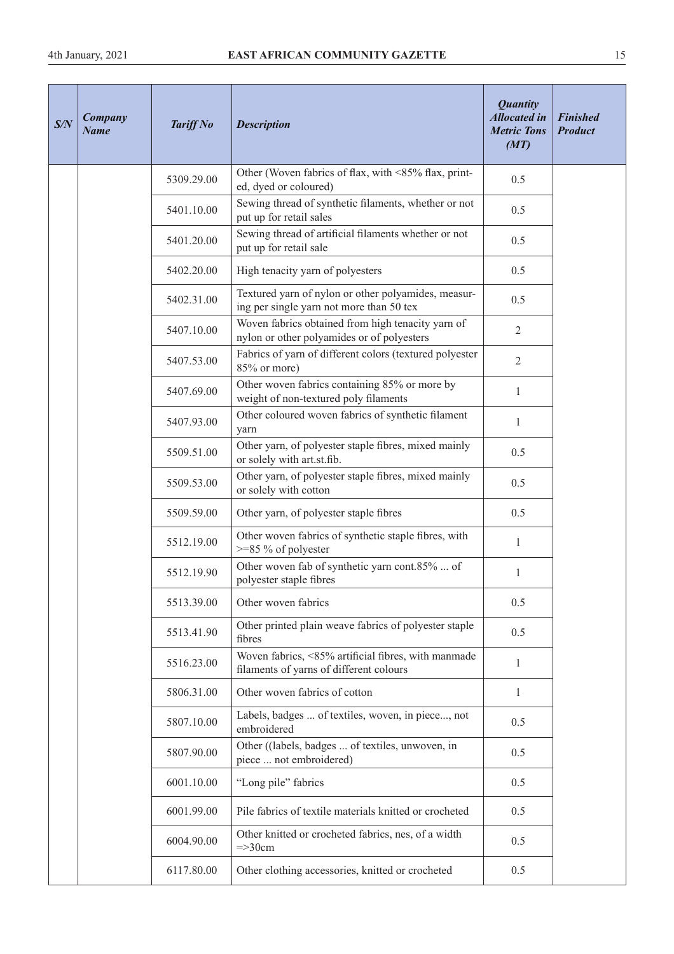| S/N | Company<br><b>Name</b> | <b>Tariff No</b> | <b>Description</b>                                                                              | <b>Quantity</b><br><b>Allocated in</b><br><b>Metric Tons</b><br>(MT) | <b>Finished</b><br><b>Product</b> |
|-----|------------------------|------------------|-------------------------------------------------------------------------------------------------|----------------------------------------------------------------------|-----------------------------------|
|     |                        | 5309.29.00       | Other (Woven fabrics of flax, with <85% flax, print-<br>ed, dyed or coloured)                   | 0.5                                                                  |                                   |
|     |                        | 5401.10.00       | Sewing thread of synthetic filaments, whether or not<br>put up for retail sales                 | 0.5                                                                  |                                   |
|     |                        | 5401.20.00       | Sewing thread of artificial filaments whether or not<br>put up for retail sale                  | 0.5                                                                  |                                   |
|     |                        | 5402.20.00       | High tenacity yarn of polyesters                                                                | 0.5                                                                  |                                   |
|     |                        | 5402.31.00       | Textured yarn of nylon or other polyamides, measur-<br>ing per single yarn not more than 50 tex | 0.5                                                                  |                                   |
|     |                        | 5407.10.00       | Woven fabrics obtained from high tenacity yarn of<br>nylon or other polyamides or of polyesters | $\mathbf{2}$                                                         |                                   |
|     |                        | 5407.53.00       | Fabrics of yarn of different colors (textured polyester<br>85% or more)                         | $\overline{2}$                                                       |                                   |
|     |                        | 5407.69.00       | Other woven fabrics containing 85% or more by<br>weight of non-textured poly filaments          | 1                                                                    |                                   |
|     |                        | 5407.93.00       | Other coloured woven fabrics of synthetic filament<br>yarn                                      | $\mathbf{1}$                                                         |                                   |
|     |                        | 5509.51.00       | Other yarn, of polyester staple fibres, mixed mainly<br>or solely with art.st.fib.              | 0.5                                                                  |                                   |
|     |                        | 5509.53.00       | Other yarn, of polyester staple fibres, mixed mainly<br>or solely with cotton                   | 0.5                                                                  |                                   |
|     |                        | 5509.59.00       | Other yarn, of polyester staple fibres                                                          | 0.5                                                                  |                                   |
|     |                        | 5512.19.00       | Other woven fabrics of synthetic staple fibres, with<br>$>=85\%$ of polyester                   | $\mathbf{1}$                                                         |                                   |
|     |                        | 5512.19.90       | Other woven fab of synthetic yarn cont.85%  of<br>polyester staple fibres                       | 1                                                                    |                                   |
|     |                        | 5513.39.00       | Other woven fabrics                                                                             | 0.5                                                                  |                                   |
|     |                        | 5513.41.90       | Other printed plain weave fabrics of polyester staple<br>fibres                                 | 0.5                                                                  |                                   |
|     |                        | 5516.23.00       | Woven fabrics, <85% artificial fibres, with manmade<br>filaments of yarns of different colours  | $\mathbf{1}$                                                         |                                   |
|     |                        | 5806.31.00       | Other woven fabrics of cotton                                                                   | $\mathbf{1}$                                                         |                                   |
|     |                        | 5807.10.00       | Labels, badges  of textiles, woven, in piece, not<br>embroidered                                | 0.5                                                                  |                                   |
|     |                        | 5807.90.00       | Other ((labels, badges  of textiles, unwoven, in<br>piece  not embroidered)                     | 0.5                                                                  |                                   |
|     |                        | 6001.10.00       | "Long pile" fabrics                                                                             | 0.5                                                                  |                                   |
|     |                        | 6001.99.00       | Pile fabrics of textile materials knitted or crocheted                                          | 0.5                                                                  |                                   |
|     |                        | 6004.90.00       | Other knitted or crocheted fabrics, nes, of a width<br>$\Rightarrow$ 30cm                       | 0.5                                                                  |                                   |
|     |                        | 6117.80.00       | Other clothing accessories, knitted or crocheted                                                | 0.5                                                                  |                                   |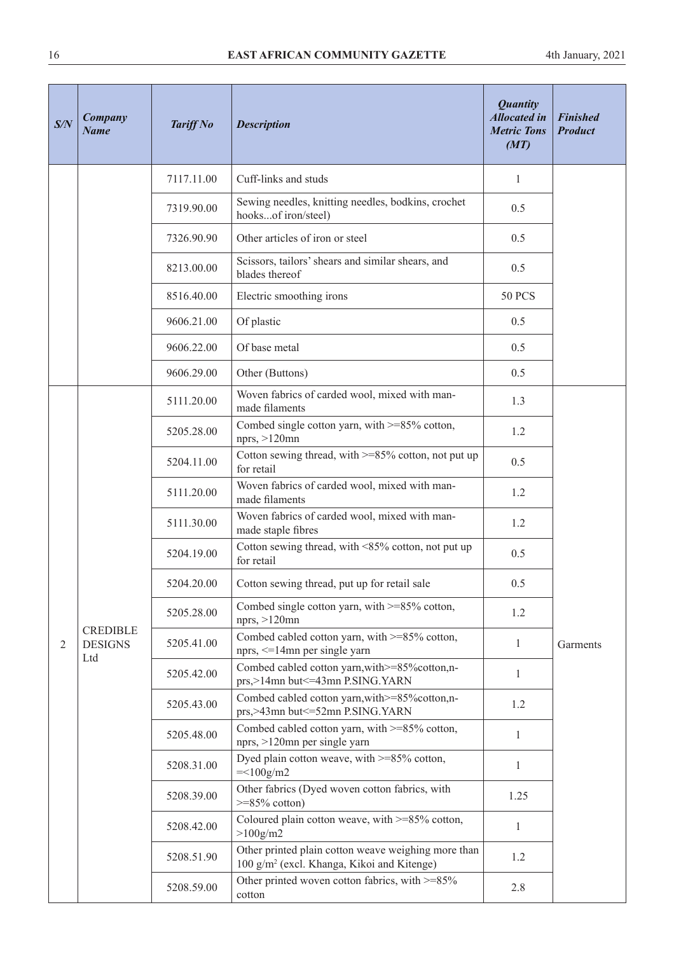| S/N | Company<br><b>Name</b>                   | <b>Tariff No</b> | <b>Description</b>                                                                                            | <b>Quantity</b><br><b>Allocated in</b><br><b>Metric Tons</b><br>(MT) | <b>Finished</b><br><b>Product</b> |
|-----|------------------------------------------|------------------|---------------------------------------------------------------------------------------------------------------|----------------------------------------------------------------------|-----------------------------------|
|     |                                          | 7117.11.00       | Cuff-links and studs                                                                                          | 1                                                                    |                                   |
|     |                                          | 7319.90.00       | Sewing needles, knitting needles, bodkins, crochet<br>hooksof iron/steel)                                     | 0.5                                                                  |                                   |
|     |                                          | 7326.90.90       | Other articles of iron or steel                                                                               | 0.5                                                                  |                                   |
|     |                                          | 8213.00.00       | Scissors, tailors' shears and similar shears, and<br>blades thereof                                           | 0.5                                                                  |                                   |
|     |                                          | 8516.40.00       | Electric smoothing irons                                                                                      | <b>50 PCS</b>                                                        |                                   |
|     |                                          | 9606.21.00       | Of plastic                                                                                                    | 0.5                                                                  |                                   |
|     |                                          | 9606.22.00       | Of base metal                                                                                                 | 0.5                                                                  |                                   |
|     |                                          | 9606.29.00       | Other (Buttons)                                                                                               | 0.5                                                                  |                                   |
|     |                                          | 5111.20.00       | Woven fabrics of carded wool, mixed with man-<br>made filaments                                               | 1.3                                                                  |                                   |
|     |                                          | 5205.28.00       | Combed single cotton yarn, with >=85% cotton,<br>nprs, $>120$ mn                                              | 1.2                                                                  |                                   |
|     |                                          | 5204.11.00       | Cotton sewing thread, with >=85% cotton, not put up<br>for retail                                             | 0.5                                                                  |                                   |
|     |                                          | 5111.20.00       | Woven fabrics of carded wool, mixed with man-<br>made filaments                                               | 1.2                                                                  |                                   |
|     |                                          | 5111.30.00       | Woven fabrics of carded wool, mixed with man-<br>made staple fibres                                           | 1.2                                                                  |                                   |
|     |                                          | 5204.19.00       | Cotton sewing thread, with <85% cotton, not put up<br>for retail                                              | 0.5                                                                  |                                   |
|     |                                          | 5204.20.00       | Cotton sewing thread, put up for retail sale                                                                  | 0.5                                                                  |                                   |
|     |                                          | 5205.28.00       | Combed single cotton yarn, with >=85% cotton,<br>nprs, >120mn                                                 | 1.2                                                                  |                                   |
| 2   | <b>CREDIBLE</b><br><b>DESIGNS</b><br>Ltd | 5205.41.00       | Combed cabled cotton yarn, with >=85% cotton,<br>nprs, <= 14mn per single yarn                                | $\mathbf{1}$                                                         | Garments                          |
|     |                                          | 5205.42.00       | Combed cabled cotton yarn, with >=85% cotton, n-<br>prs,>14mn but<=43mn P.SING.YARN                           | $\mathbf{1}$                                                         |                                   |
|     |                                          | 5205.43.00       | Combed cabled cotton yarn, with >=85% cotton, n-<br>prs,>43mn but <= 52mn P.SING. YARN                        | 1.2                                                                  |                                   |
|     |                                          | 5205.48.00       | Combed cabled cotton yarn, with >=85% cotton,<br>nprs, >120mn per single yarn                                 | $\mathbf{1}$                                                         |                                   |
|     |                                          | 5208.31.00       | Dyed plain cotton weave, with >=85% cotton,<br>$=<100g/m2$                                                    | 1                                                                    |                                   |
|     |                                          | 5208.39.00       | Other fabrics (Dyed woven cotton fabrics, with<br>$>=85\%$ cotton)                                            | 1.25                                                                 |                                   |
|     |                                          | 5208.42.00       | Coloured plain cotton weave, with >=85% cotton,<br>$>100$ g/m2                                                | 1                                                                    |                                   |
|     |                                          | 5208.51.90       | Other printed plain cotton weave weighing more than<br>100 g/m <sup>2</sup> (excl. Khanga, Kikoi and Kitenge) | 1.2                                                                  |                                   |
|     |                                          | 5208.59.00       | Other printed woven cotton fabrics, with $>=85\%$<br>cotton                                                   | 2.8                                                                  |                                   |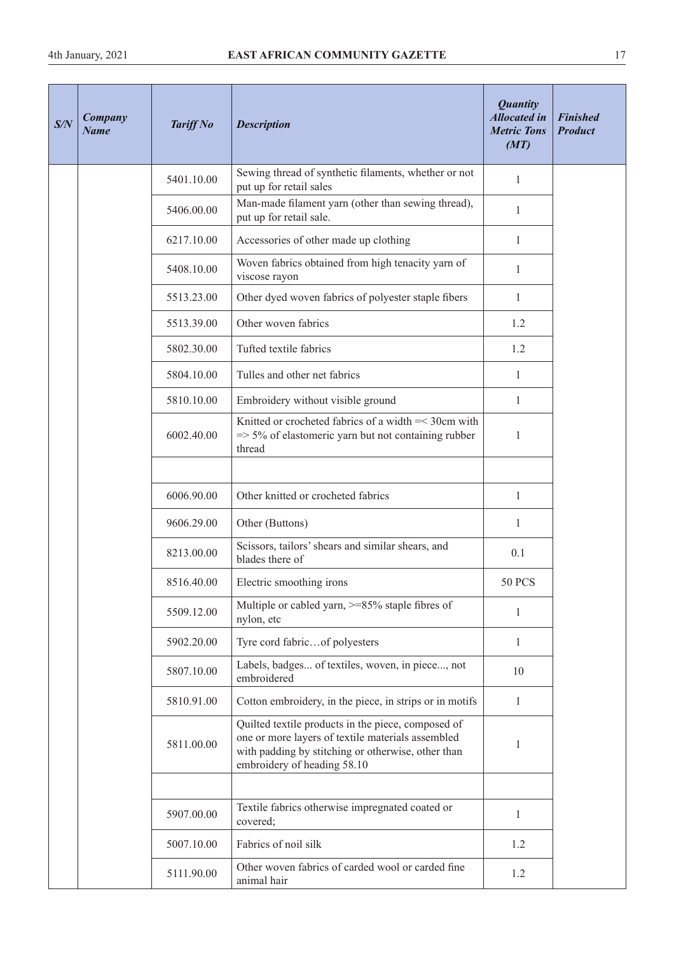| S/N | Company<br><b>Name</b> | <b>Tariff No</b> | <b>Description</b>                                                                                                                                                                           | <b>Quantity</b><br><b>Allocated in</b><br><b>Metric Tons</b><br>(MT) | <b>Finished</b><br><b>Product</b> |
|-----|------------------------|------------------|----------------------------------------------------------------------------------------------------------------------------------------------------------------------------------------------|----------------------------------------------------------------------|-----------------------------------|
|     |                        | 5401.10.00       | Sewing thread of synthetic filaments, whether or not<br>put up for retail sales                                                                                                              | 1                                                                    |                                   |
|     |                        | 5406.00.00       | Man-made filament yarn (other than sewing thread),<br>put up for retail sale.                                                                                                                | $\mathbf{1}$                                                         |                                   |
|     |                        | 6217.10.00       | Accessories of other made up clothing                                                                                                                                                        | 1                                                                    |                                   |
|     |                        | 5408.10.00       | Woven fabrics obtained from high tenacity yarn of<br>viscose rayon                                                                                                                           | 1                                                                    |                                   |
|     |                        | 5513.23.00       | Other dyed woven fabrics of polyester staple fibers                                                                                                                                          | $\mathbf{1}$                                                         |                                   |
|     |                        | 5513.39.00       | Other woven fabrics                                                                                                                                                                          | 1.2                                                                  |                                   |
|     |                        | 5802.30.00       | Tufted textile fabrics                                                                                                                                                                       | 1.2                                                                  |                                   |
|     |                        | 5804.10.00       | Tulles and other net fabrics                                                                                                                                                                 | $\mathbf{1}$                                                         |                                   |
|     |                        | 5810.10.00       | Embroidery without visible ground                                                                                                                                                            | $\mathbf{1}$                                                         |                                   |
|     |                        | 6002.40.00       | Knitted or crocheted fabrics of a width =< 30cm with<br>$\Rightarrow$ 5% of elastomeric yarn but not containing rubber<br>thread                                                             | 1                                                                    |                                   |
|     |                        |                  |                                                                                                                                                                                              |                                                                      |                                   |
|     |                        | 6006.90.00       | Other knitted or crocheted fabrics                                                                                                                                                           | $\mathbf{1}$                                                         |                                   |
|     |                        | 9606.29.00       | Other (Buttons)                                                                                                                                                                              | 1                                                                    |                                   |
|     |                        | 8213.00.00       | Scissors, tailors' shears and similar shears, and<br>blades there of                                                                                                                         | 0.1                                                                  |                                   |
|     |                        | 8516.40.00       | Electric smoothing irons                                                                                                                                                                     | <b>50 PCS</b>                                                        |                                   |
|     |                        | 5509.12.00       | Multiple or cabled yarn, >=85% staple fibres of<br>nylon, etc                                                                                                                                | 1                                                                    |                                   |
|     |                        | 5902.20.00       | Tyre cord fabricof polyesters                                                                                                                                                                | 1                                                                    |                                   |
|     |                        | 5807.10.00       | Labels, badges of textiles, woven, in piece, not<br>embroidered                                                                                                                              | 10                                                                   |                                   |
|     |                        | 5810.91.00       | Cotton embroidery, in the piece, in strips or in motifs                                                                                                                                      | 1                                                                    |                                   |
|     |                        | 5811.00.00       | Quilted textile products in the piece, composed of<br>one or more layers of textile materials assembled<br>with padding by stitching or otherwise, other than<br>embroidery of heading 58.10 | 1                                                                    |                                   |
|     |                        |                  |                                                                                                                                                                                              |                                                                      |                                   |
|     |                        | 5907.00.00       | Textile fabrics otherwise impregnated coated or<br>covered;                                                                                                                                  | $\mathbf{1}$                                                         |                                   |
|     |                        | 5007.10.00       | Fabrics of noil silk                                                                                                                                                                         | 1.2                                                                  |                                   |
|     |                        | 5111.90.00       | Other woven fabrics of carded wool or carded fine<br>animal hair                                                                                                                             | 1.2                                                                  |                                   |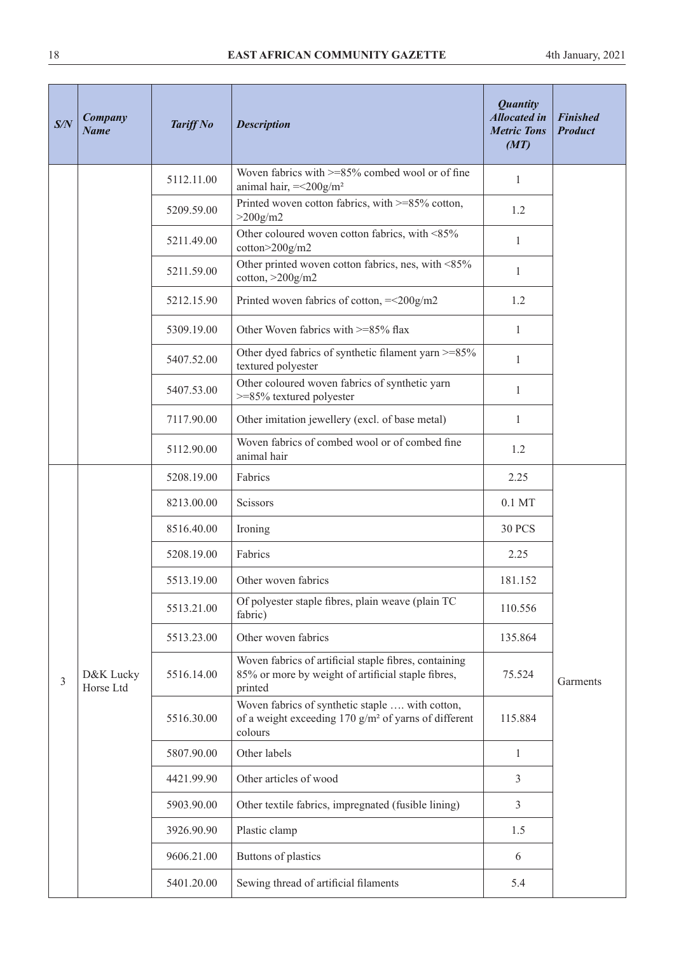| S/N | <b>Company</b><br><b>Name</b> | <b>Tariff No</b> | <b>Description</b>                                                                                                               | <b>Quantity</b><br><b>Allocated in</b><br><b>Metric Tons</b><br>(MT) | <b>Finished</b><br><b>Product</b> |
|-----|-------------------------------|------------------|----------------------------------------------------------------------------------------------------------------------------------|----------------------------------------------------------------------|-----------------------------------|
|     |                               | 5112.11.00       | Woven fabrics with $>= 85\%$ combed wool or of fine<br>animal hair, $=<200g/m2$                                                  | $\mathbf{1}$                                                         |                                   |
|     |                               | 5209.59.00       | Printed woven cotton fabrics, with >=85% cotton,<br>$>200$ g/m2                                                                  | 1.2                                                                  |                                   |
|     |                               | 5211.49.00       | Other coloured woven cotton fabrics, with <85%<br>cotton>200g/m2                                                                 | 1                                                                    |                                   |
|     |                               | 5211.59.00       | Other printed woven cotton fabrics, nes, with <85%<br>cotton, $>200$ g/m2                                                        | $\mathbf{1}$                                                         |                                   |
|     |                               | 5212.15.90       | Printed woven fabrics of cotton, $=<200g/m2$                                                                                     | 1.2                                                                  |                                   |
|     |                               | 5309.19.00       | Other Woven fabrics with >=85% flax                                                                                              | $\mathbf{1}$                                                         |                                   |
|     |                               | 5407.52.00       | Other dyed fabrics of synthetic filament yarn >=85%<br>textured polyester                                                        | $\mathbf{1}$                                                         |                                   |
|     |                               | 5407.53.00       | Other coloured woven fabrics of synthetic yarn<br>>=85% textured polyester                                                       | $\mathbf{1}$                                                         |                                   |
|     |                               | 7117.90.00       | Other imitation jewellery (excl. of base metal)                                                                                  | $\mathbf{1}$                                                         |                                   |
|     |                               | 5112.90.00       | Woven fabrics of combed wool or of combed fine<br>animal hair                                                                    | 1.2                                                                  |                                   |
|     |                               | 5208.19.00       | Fabrics                                                                                                                          | 2.25                                                                 |                                   |
|     |                               | 8213.00.00       | Scissors                                                                                                                         | $0.1$ MT                                                             |                                   |
|     |                               | 8516.40.00       | Ironing                                                                                                                          | <b>30 PCS</b>                                                        |                                   |
|     |                               | 5208.19.00       | Fabrics                                                                                                                          | 2.25                                                                 |                                   |
|     |                               | 5513.19.00       | Other woven fabrics                                                                                                              | 181.152                                                              |                                   |
|     |                               | 5513.21.00       | Of polyester staple fibres, plain weave (plain TC<br>fabric)                                                                     | 110.556                                                              |                                   |
|     |                               | 5513.23.00       | Other woven fabrics                                                                                                              | 135.864                                                              |                                   |
| 3   | D&K Lucky<br>Horse Ltd        | 5516.14.00       | Woven fabrics of artificial staple fibres, containing<br>85% or more by weight of artificial staple fibres,<br>printed           | 75.524                                                               | Garments                          |
|     |                               | 5516.30.00       | Woven fabrics of synthetic staple  with cotton,<br>of a weight exceeding $170$ g/m <sup>2</sup> of yarns of different<br>colours | 115.884                                                              |                                   |
|     |                               | 5807.90.00       | Other labels                                                                                                                     | 1                                                                    |                                   |
|     |                               | 4421.99.90       | Other articles of wood                                                                                                           | 3                                                                    |                                   |
|     |                               | 5903.90.00       | Other textile fabrics, impregnated (fusible lining)                                                                              | 3                                                                    |                                   |
|     |                               | 3926.90.90       | Plastic clamp                                                                                                                    | 1.5                                                                  |                                   |
|     |                               | 9606.21.00       | Buttons of plastics                                                                                                              | 6                                                                    |                                   |
|     |                               | 5401.20.00       | Sewing thread of artificial filaments                                                                                            | 5.4                                                                  |                                   |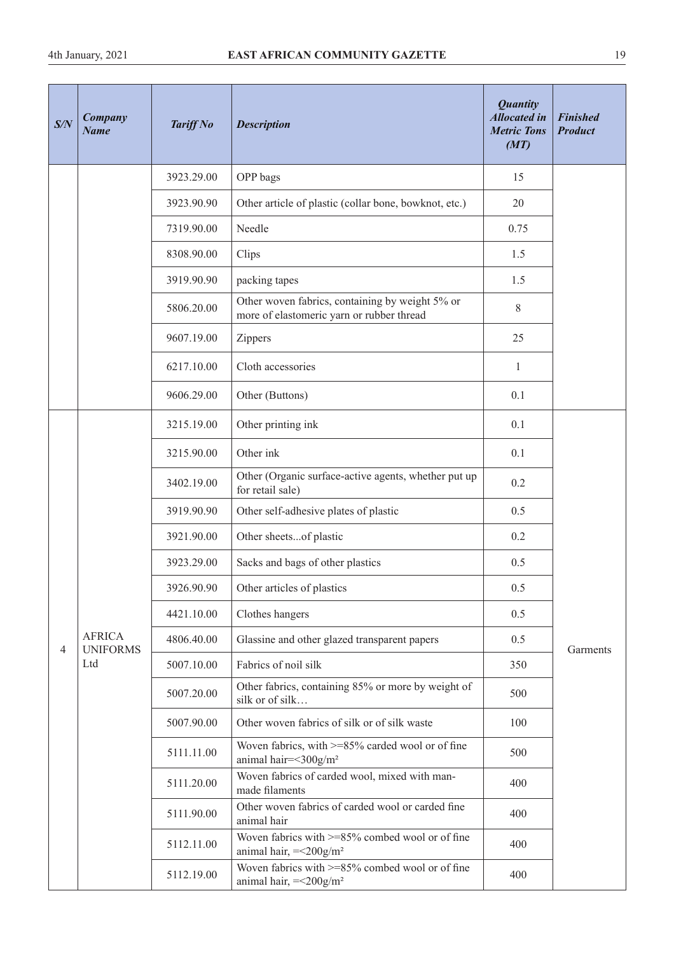| S/N | Company<br><b>Name</b>           | <b>Tariff No</b> | <b>Description</b>                                                                           | <b>Quantity</b><br><b>Allocated in</b><br><b>Metric Tons</b><br>(MT) | <b>Finished</b><br><b>Product</b> |
|-----|----------------------------------|------------------|----------------------------------------------------------------------------------------------|----------------------------------------------------------------------|-----------------------------------|
|     |                                  | 3923.29.00       | OPP bags                                                                                     | 15                                                                   |                                   |
|     |                                  | 3923.90.90       | Other article of plastic (collar bone, bowknot, etc.)                                        | 20                                                                   |                                   |
|     |                                  | 7319.90.00       | Needle                                                                                       | 0.75                                                                 |                                   |
|     |                                  | 8308.90.00       | Clips                                                                                        | 1.5                                                                  |                                   |
|     |                                  | 3919.90.90       | packing tapes                                                                                | 1.5                                                                  |                                   |
|     |                                  | 5806.20.00       | Other woven fabrics, containing by weight 5% or<br>more of elastomeric yarn or rubber thread | 8                                                                    |                                   |
|     |                                  | 9607.19.00       | Zippers                                                                                      | 25                                                                   |                                   |
|     |                                  | 6217.10.00       | Cloth accessories                                                                            | $\mathbf{1}$                                                         |                                   |
|     |                                  | 9606.29.00       | Other (Buttons)                                                                              | 0.1                                                                  |                                   |
|     |                                  | 3215.19.00       | Other printing ink                                                                           | 0.1                                                                  |                                   |
|     |                                  | 3215.90.00       | Other ink                                                                                    | 0.1                                                                  |                                   |
|     |                                  | 3402.19.00       | Other (Organic surface-active agents, whether put up<br>for retail sale)                     | 0.2                                                                  |                                   |
|     |                                  | 3919.90.90       | Other self-adhesive plates of plastic                                                        | 0.5                                                                  |                                   |
|     |                                  | 3921.90.00       | Other sheetsof plastic                                                                       | 0.2                                                                  |                                   |
|     |                                  | 3923.29.00       | Sacks and bags of other plastics                                                             | 0.5                                                                  |                                   |
|     |                                  | 3926.90.90       | Other articles of plastics                                                                   | 0.5                                                                  |                                   |
|     |                                  | 4421.10.00       | Clothes hangers                                                                              | 0.5                                                                  |                                   |
| 4   | <b>AFRICA</b><br><b>UNIFORMS</b> | 4806.40.00       | Glassine and other glazed transparent papers                                                 | 0.5                                                                  | Garments                          |
|     | Ltd                              | 5007.10.00       | Fabrics of noil silk                                                                         | 350                                                                  |                                   |
|     |                                  | 5007.20.00       | Other fabrics, containing 85% or more by weight of<br>silk or of silk                        | 500                                                                  |                                   |
|     |                                  | 5007.90.00       | Other woven fabrics of silk or of silk waste                                                 | 100                                                                  |                                   |
|     |                                  | 5111.11.00       | Woven fabrics, with >=85% carded wool or of fine<br>animal hair=<300g/m <sup>2</sup>         | 500                                                                  |                                   |
|     |                                  | 5111.20.00       | Woven fabrics of carded wool, mixed with man-<br>made filaments                              | 400                                                                  |                                   |
|     |                                  | 5111.90.00       | Other woven fabrics of carded wool or carded fine<br>animal hair                             | 400                                                                  |                                   |
|     |                                  | 5112.11.00       | Woven fabrics with >=85% combed wool or of fine<br>animal hair, $=<200g/m2$                  | 400                                                                  |                                   |
|     |                                  | 5112.19.00       | Woven fabrics with >=85% combed wool or of fine<br>animal hair, =<200g/m <sup>2</sup>        | 400                                                                  |                                   |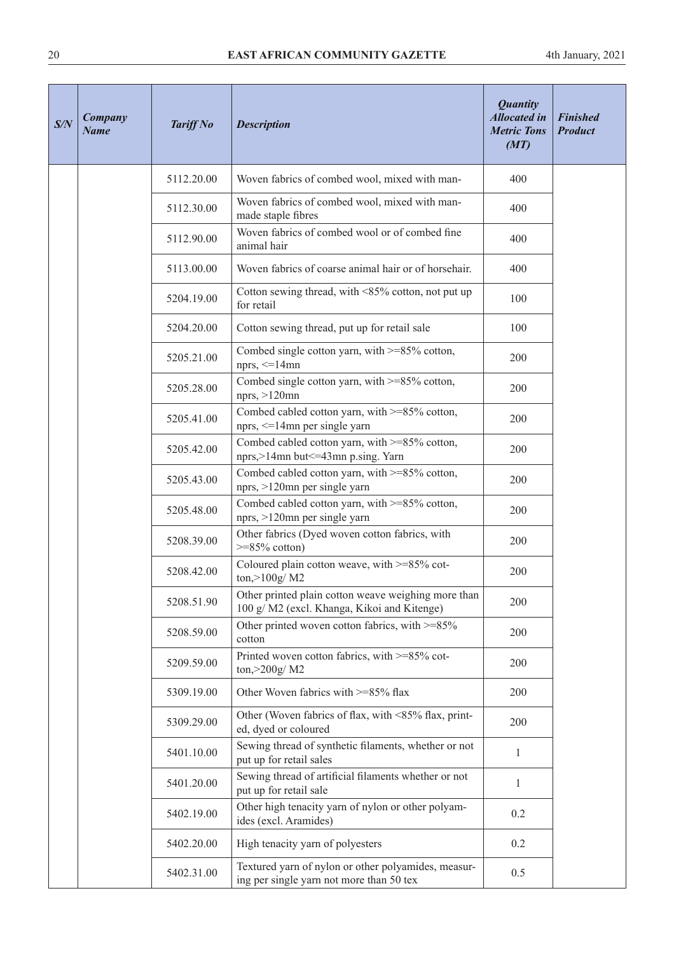| S/N | <b>Company</b><br><b>Name</b> | <b>Tariff No</b> | <b>Description</b>                                                                                | <b>Quantity</b><br><b>Allocated in</b><br><b>Metric Tons</b><br>(MT) | <b>Finished</b><br><b>Product</b> |
|-----|-------------------------------|------------------|---------------------------------------------------------------------------------------------------|----------------------------------------------------------------------|-----------------------------------|
|     |                               | 5112.20.00       | Woven fabrics of combed wool, mixed with man-                                                     | 400                                                                  |                                   |
|     |                               | 5112.30.00       | Woven fabrics of combed wool, mixed with man-<br>made staple fibres                               | 400                                                                  |                                   |
|     |                               | 5112.90.00       | Woven fabrics of combed wool or of combed fine<br>animal hair                                     | 400                                                                  |                                   |
|     |                               | 5113.00.00       | Woven fabrics of coarse animal hair or of horsehair.                                              | 400                                                                  |                                   |
|     |                               | 5204.19.00       | Cotton sewing thread, with <85% cotton, not put up<br>for retail                                  | 100                                                                  |                                   |
|     |                               | 5204.20.00       | Cotton sewing thread, put up for retail sale                                                      | 100                                                                  |                                   |
|     |                               | 5205.21.00       | Combed single cotton yarn, with $>=85\%$ cotton,<br>nprs, $\leq$ 14mn                             | 200                                                                  |                                   |
|     |                               | 5205.28.00       | Combed single cotton yarn, with $>=85\%$ cotton,<br>nprs, $>120$ mn                               | 200                                                                  |                                   |
|     |                               | 5205.41.00       | Combed cabled cotton yarn, with >=85% cotton,<br>nprs, $\leq$ 14mn per single yarn                | 200                                                                  |                                   |
|     |                               | 5205.42.00       | Combed cabled cotton yarn, with >=85% cotton,<br>nprs,>14mn but<=43mn p.sing. Yarn                | 200                                                                  |                                   |
|     |                               | 5205.43.00       | Combed cabled cotton yarn, with >=85% cotton,<br>nprs, >120mn per single yarn                     | 200                                                                  |                                   |
|     |                               | 5205.48.00       | Combed cabled cotton yarn, with >=85% cotton,<br>nprs, >120mn per single yarn                     | 200                                                                  |                                   |
|     |                               | 5208.39.00       | Other fabrics (Dyed woven cotton fabrics, with<br>$>=85\%$ cotton)                                | 200                                                                  |                                   |
|     |                               | 5208.42.00       | Coloured plain cotton weave, with >=85% cot-<br>ton, > 100g/ M2                                   | 200                                                                  |                                   |
|     |                               | 5208.51.90       | Other printed plain cotton weave weighing more than<br>100 g/M2 (excl. Khanga, Kikoi and Kitenge) | 200                                                                  |                                   |
|     |                               | 5208.59.00       | Other printed woven cotton fabrics, with $>=85\%$<br>cotton                                       | 200                                                                  |                                   |
|     |                               | 5209.59.00       | Printed woven cotton fabrics, with >=85% cot-<br>ton, > 200g/ M2                                  | 200                                                                  |                                   |
|     |                               | 5309.19.00       | Other Woven fabrics with >=85% flax                                                               | 200                                                                  |                                   |
|     |                               | 5309.29.00       | Other (Woven fabrics of flax, with <85% flax, print-<br>ed, dyed or coloured                      | 200                                                                  |                                   |
|     |                               | 5401.10.00       | Sewing thread of synthetic filaments, whether or not<br>put up for retail sales                   | 1                                                                    |                                   |
|     |                               | 5401.20.00       | Sewing thread of artificial filaments whether or not<br>put up for retail sale                    | $\mathbf{1}$                                                         |                                   |
|     |                               | 5402.19.00       | Other high tenacity yarn of nylon or other polyam-<br>ides (excl. Aramides)                       | 0.2                                                                  |                                   |
|     |                               | 5402.20.00       | High tenacity yarn of polyesters                                                                  | 0.2                                                                  |                                   |
|     |                               | 5402.31.00       | Textured yarn of nylon or other polyamides, measur-<br>ing per single yarn not more than 50 tex   | 0.5                                                                  |                                   |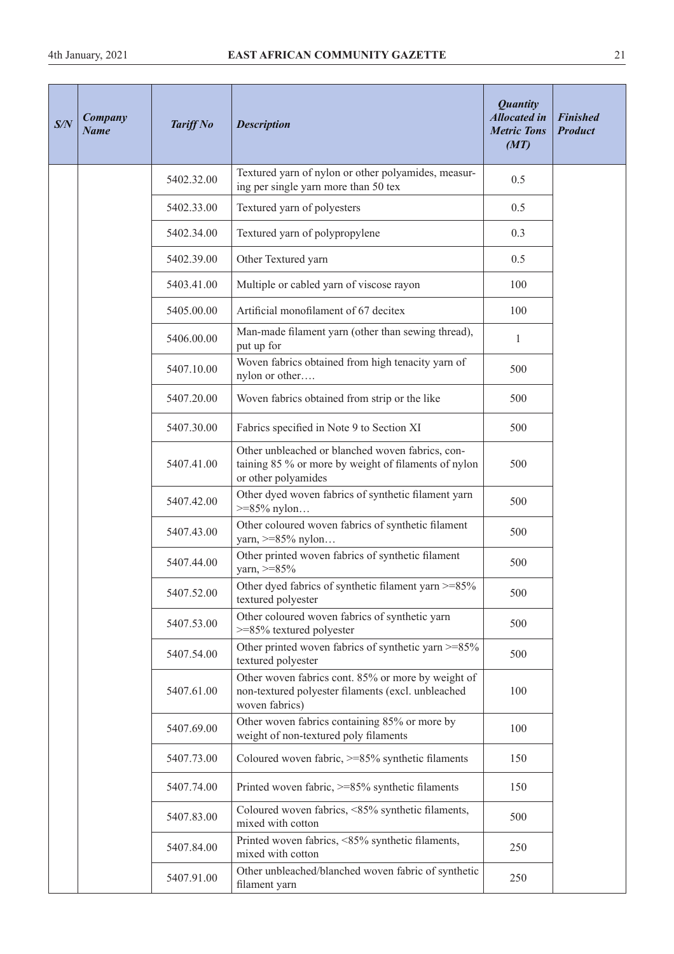| S/N | <b>Company</b><br><b>Name</b> | <b>Tariff No</b> | <b>Description</b>                                                                                                              | <b>Quantity</b><br><b>Allocated in</b><br><b>Metric Tons</b><br>(MT) | <b>Finished</b><br><b>Product</b> |
|-----|-------------------------------|------------------|---------------------------------------------------------------------------------------------------------------------------------|----------------------------------------------------------------------|-----------------------------------|
|     |                               | 5402.32.00       | Textured yarn of nylon or other polyamides, measur-<br>ing per single yarn more than 50 tex                                     | 0.5                                                                  |                                   |
|     |                               | 5402.33.00       | Textured yarn of polyesters                                                                                                     | 0.5                                                                  |                                   |
|     |                               | 5402.34.00       | Textured yarn of polypropylene                                                                                                  | 0.3                                                                  |                                   |
|     |                               | 5402.39.00       | Other Textured yarn                                                                                                             | 0.5                                                                  |                                   |
|     |                               | 5403.41.00       | Multiple or cabled yarn of viscose rayon                                                                                        | 100                                                                  |                                   |
|     |                               | 5405.00.00       | Artificial monofilament of 67 decitex                                                                                           | 100                                                                  |                                   |
|     |                               | 5406.00.00       | Man-made filament yarn (other than sewing thread),<br>put up for                                                                | $\mathbf{1}$                                                         |                                   |
|     |                               | 5407.10.00       | Woven fabrics obtained from high tenacity yarn of<br>nylon or other                                                             | 500                                                                  |                                   |
|     |                               | 5407.20.00       | Woven fabrics obtained from strip or the like                                                                                   | 500                                                                  |                                   |
|     |                               | 5407.30.00       | Fabrics specified in Note 9 to Section XI                                                                                       | 500                                                                  |                                   |
|     |                               | 5407.41.00       | Other unbleached or blanched woven fabrics, con-<br>taining 85 % or more by weight of filaments of nylon<br>or other polyamides | 500                                                                  |                                   |
|     |                               | 5407.42.00       | Other dyed woven fabrics of synthetic filament yarn<br>$>= 85\%$ nylon                                                          | 500                                                                  |                                   |
|     |                               | 5407.43.00       | Other coloured woven fabrics of synthetic filament<br>yarn, $>= 85\%$ nylon                                                     | 500                                                                  |                                   |
|     |                               | 5407.44.00       | Other printed woven fabrics of synthetic filament<br>yarn, $>= 85\%$                                                            | 500                                                                  |                                   |
|     |                               | 5407.52.00       | Other dyed fabrics of synthetic filament yarn $>=85\%$<br>textured polyester                                                    | 500                                                                  |                                   |
|     |                               | 5407.53.00       | Other coloured woven fabrics of synthetic yarn<br>>=85% textured polyester                                                      | 500                                                                  |                                   |
|     |                               | 5407.54.00       | Other printed woven fabrics of synthetic yarn >=85%<br>textured polyester                                                       | 500                                                                  |                                   |
|     |                               | 5407.61.00       | Other woven fabrics cont. 85% or more by weight of<br>non-textured polyester filaments (excl. unbleached<br>woven fabrics)      | 100                                                                  |                                   |
|     |                               | 5407.69.00       | Other woven fabrics containing 85% or more by<br>weight of non-textured poly filaments                                          | 100                                                                  |                                   |
|     |                               | 5407.73.00       | Coloured woven fabric, >=85% synthetic filaments                                                                                | 150                                                                  |                                   |
|     |                               | 5407.74.00       | Printed woven fabric, >=85% synthetic filaments                                                                                 | 150                                                                  |                                   |
|     |                               | 5407.83.00       | Coloured woven fabrics, <85% synthetic filaments,<br>mixed with cotton                                                          | 500                                                                  |                                   |
|     |                               | 5407.84.00       | Printed woven fabrics, <85% synthetic filaments,<br>mixed with cotton                                                           | 250                                                                  |                                   |
|     |                               | 5407.91.00       | Other unbleached/blanched woven fabric of synthetic<br>filament yarn                                                            | 250                                                                  |                                   |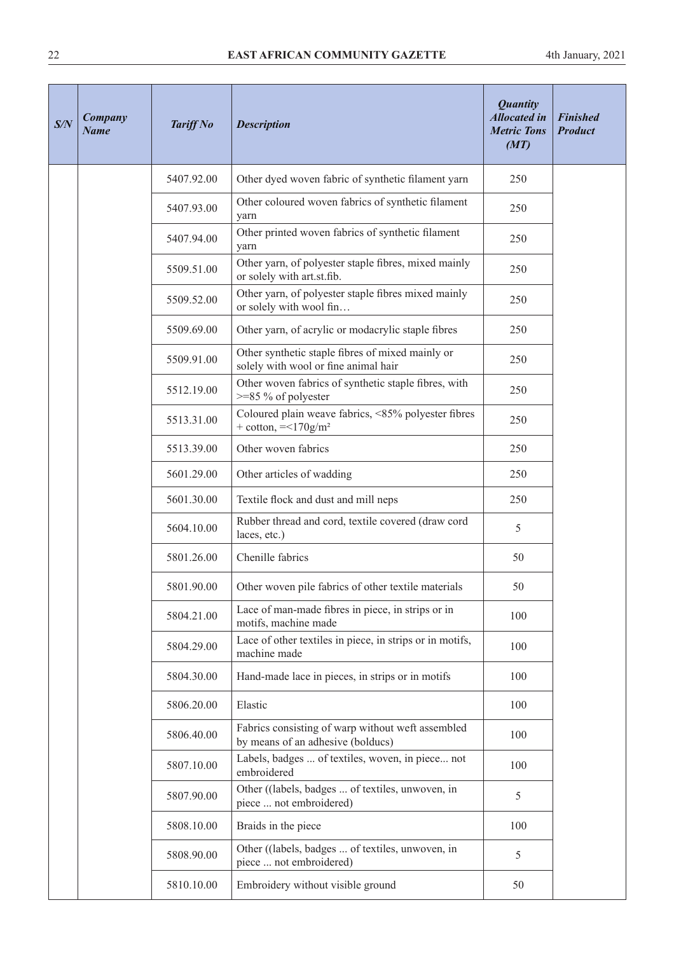| S/N | <b>Company</b><br><b>Name</b> | <b>Tariff No</b> | <b>Description</b>                                                                       | <b>Quantity</b><br><b>Allocated in</b><br><b>Metric Tons</b><br>(MT) | <b>Finished</b><br><b>Product</b> |
|-----|-------------------------------|------------------|------------------------------------------------------------------------------------------|----------------------------------------------------------------------|-----------------------------------|
|     |                               | 5407.92.00       | Other dyed woven fabric of synthetic filament yarn                                       | 250                                                                  |                                   |
|     |                               | 5407.93.00       | Other coloured woven fabrics of synthetic filament<br>yarn                               | 250                                                                  |                                   |
|     |                               | 5407.94.00       | Other printed woven fabrics of synthetic filament<br>yarn                                | 250                                                                  |                                   |
|     |                               | 5509.51.00       | Other yarn, of polyester staple fibres, mixed mainly<br>or solely with art.st.fib.       | 250                                                                  |                                   |
|     |                               | 5509.52.00       | Other yarn, of polyester staple fibres mixed mainly<br>or solely with wool fin           | 250                                                                  |                                   |
|     |                               | 5509.69.00       | Other yarn, of acrylic or modacrylic staple fibres                                       | 250                                                                  |                                   |
|     |                               | 5509.91.00       | Other synthetic staple fibres of mixed mainly or<br>solely with wool or fine animal hair | 250                                                                  |                                   |
|     |                               | 5512.19.00       | Other woven fabrics of synthetic staple fibres, with<br>$>=85\%$ of polyester            | 250                                                                  |                                   |
|     |                               | 5513.31.00       | Coloured plain weave fabrics, <85% polyester fibres<br>$+$ cotton, $=<170g/m2$           | 250                                                                  |                                   |
|     |                               | 5513.39.00       | Other woven fabrics                                                                      | 250                                                                  |                                   |
|     |                               | 5601.29.00       | Other articles of wadding                                                                | 250                                                                  |                                   |
|     |                               | 5601.30.00       | Textile flock and dust and mill neps                                                     | 250                                                                  |                                   |
|     |                               | 5604.10.00       | Rubber thread and cord, textile covered (draw cord<br>laces, etc.)                       | 5                                                                    |                                   |
|     |                               | 5801.26.00       | Chenille fabrics                                                                         | 50                                                                   |                                   |
|     |                               | 5801.90.00       | Other woven pile fabrics of other textile materials                                      | 50                                                                   |                                   |
|     |                               | 5804.21.00       | Lace of man-made fibres in piece, in strips or in<br>motifs, machine made                | 100                                                                  |                                   |
|     |                               | 5804.29.00       | Lace of other textiles in piece, in strips or in motifs,<br>machine made                 | 100                                                                  |                                   |
|     |                               | 5804.30.00       | Hand-made lace in pieces, in strips or in motifs                                         | 100                                                                  |                                   |
|     |                               | 5806.20.00       | Elastic                                                                                  | 100                                                                  |                                   |
|     |                               | 5806.40.00       | Fabrics consisting of warp without weft assembled<br>by means of an adhesive (bolducs)   | 100                                                                  |                                   |
|     |                               | 5807.10.00       | Labels, badges  of textiles, woven, in piece not<br>embroidered                          | 100                                                                  |                                   |
|     |                               | 5807.90.00       | Other ((labels, badges  of textiles, unwoven, in<br>piece  not embroidered)              | 5                                                                    |                                   |
|     |                               | 5808.10.00       | Braids in the piece                                                                      | 100                                                                  |                                   |
|     |                               | 5808.90.00       | Other ((labels, badges  of textiles, unwoven, in<br>piece  not embroidered)              | 5                                                                    |                                   |
|     |                               | 5810.10.00       | Embroidery without visible ground                                                        | 50                                                                   |                                   |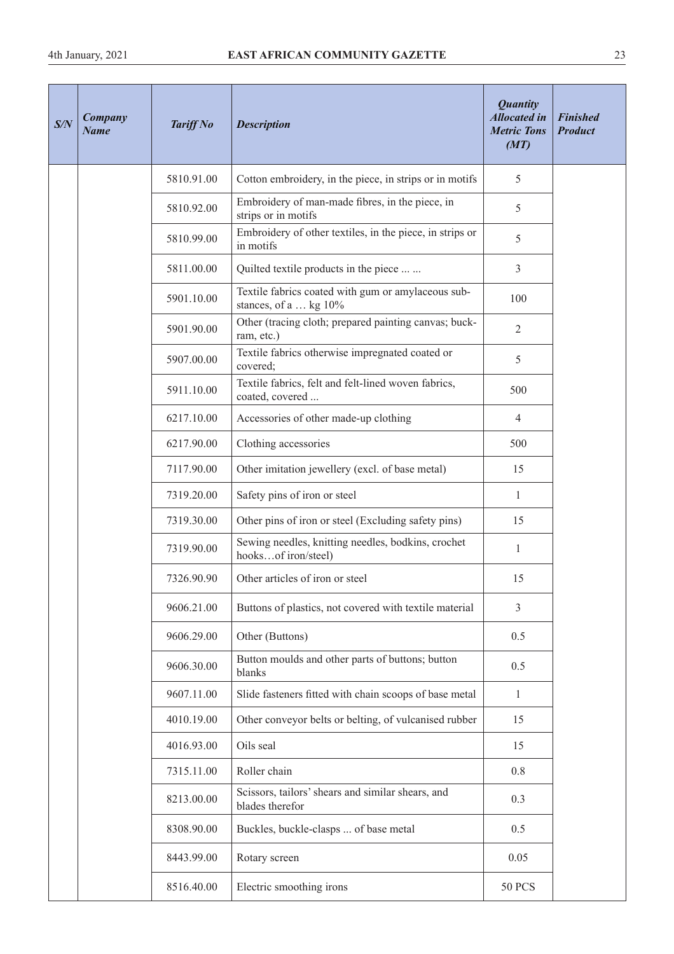| S/N | Company<br><b>Name</b> | <b>Tariff No</b> | <b>Description</b>                                                          | <b>Quantity</b><br><b>Allocated in</b><br><b>Metric Tons</b><br>(MT) | <b>Finished</b><br><b>Product</b> |
|-----|------------------------|------------------|-----------------------------------------------------------------------------|----------------------------------------------------------------------|-----------------------------------|
|     |                        | 5810.91.00       | Cotton embroidery, in the piece, in strips or in motifs                     | 5                                                                    |                                   |
|     |                        | 5810.92.00       | Embroidery of man-made fibres, in the piece, in<br>strips or in motifs      | 5                                                                    |                                   |
|     |                        | 5810.99.00       | Embroidery of other textiles, in the piece, in strips or<br>in motifs       | 5                                                                    |                                   |
|     |                        | 5811.00.00       | Quilted textile products in the piece                                       | 3                                                                    |                                   |
|     |                        | 5901.10.00       | Textile fabrics coated with gum or amylaceous sub-<br>stances, of a  kg 10% | 100                                                                  |                                   |
|     |                        | 5901.90.00       | Other (tracing cloth; prepared painting canvas; buck-<br>ram, etc.)         | $\overline{2}$                                                       |                                   |
|     |                        | 5907.00.00       | Textile fabrics otherwise impregnated coated or<br>covered;                 | 5                                                                    |                                   |
|     |                        | 5911.10.00       | Textile fabrics, felt and felt-lined woven fabrics,<br>coated, covered      | 500                                                                  |                                   |
|     |                        | 6217.10.00       | Accessories of other made-up clothing                                       | $\overline{4}$                                                       |                                   |
|     |                        | 6217.90.00       | Clothing accessories                                                        | 500                                                                  |                                   |
|     |                        | 7117.90.00       | Other imitation jewellery (excl. of base metal)                             | 15                                                                   |                                   |
|     |                        | 7319.20.00       | Safety pins of iron or steel                                                | $\mathbf{1}$                                                         |                                   |
|     |                        | 7319.30.00       | Other pins of iron or steel (Excluding safety pins)                         | 15                                                                   |                                   |
|     |                        | 7319.90.00       | Sewing needles, knitting needles, bodkins, crochet<br>hooksof iron/steel)   | $\mathbf{1}$                                                         |                                   |
|     |                        | 7326.90.90       | Other articles of iron or steel                                             | 15                                                                   |                                   |
|     |                        | 9606.21.00       | Buttons of plastics, not covered with textile material                      | 3                                                                    |                                   |
|     |                        | 9606.29.00       | Other (Buttons)                                                             | 0.5                                                                  |                                   |
|     |                        | 9606.30.00       | Button moulds and other parts of buttons; button<br>blanks                  | 0.5                                                                  |                                   |
|     |                        | 9607.11.00       | Slide fasteners fitted with chain scoops of base metal                      | $\mathbf{1}$                                                         |                                   |
|     |                        | 4010.19.00       | Other conveyor belts or belting, of vulcanised rubber                       | 15                                                                   |                                   |
|     |                        | 4016.93.00       | Oils seal                                                                   | 15                                                                   |                                   |
|     |                        | 7315.11.00       | Roller chain                                                                | 0.8                                                                  |                                   |
|     |                        | 8213.00.00       | Scissors, tailors' shears and similar shears, and<br>blades therefor        | 0.3                                                                  |                                   |
|     |                        | 8308.90.00       | Buckles, buckle-clasps  of base metal                                       | 0.5                                                                  |                                   |
|     |                        | 8443.99.00       | Rotary screen                                                               | 0.05                                                                 |                                   |
|     |                        | 8516.40.00       | Electric smoothing irons                                                    | <b>50 PCS</b>                                                        |                                   |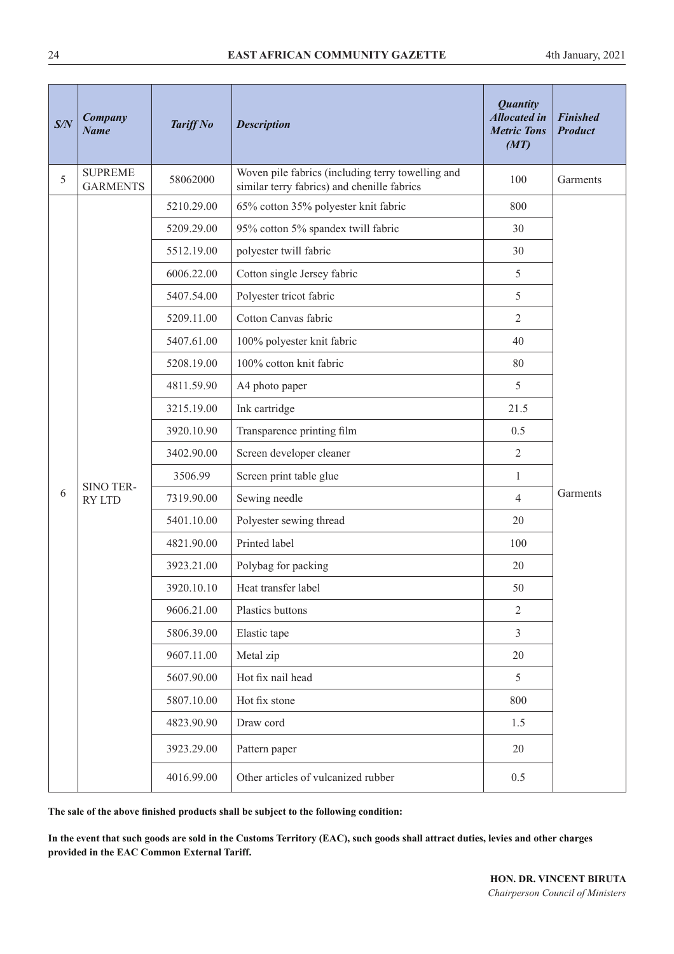| S/N | Company<br><b>Name</b>            | <b>Tariff No</b> | <b>Description</b>                                                                               | <b>Quantity</b><br><b>Allocated in</b><br><b>Metric Tons</b><br>(MT) | <b>Finished</b><br><b>Product</b> |
|-----|-----------------------------------|------------------|--------------------------------------------------------------------------------------------------|----------------------------------------------------------------------|-----------------------------------|
| 5   | <b>SUPREME</b><br><b>GARMENTS</b> | 58062000         | Woven pile fabrics (including terry towelling and<br>similar terry fabrics) and chenille fabrics | 100                                                                  | Garments                          |
|     |                                   | 5210.29.00       | 65% cotton 35% polyester knit fabric                                                             | 800                                                                  |                                   |
|     |                                   | 5209.29.00       | 95% cotton 5% spandex twill fabric                                                               | 30                                                                   |                                   |
|     |                                   | 5512.19.00       | polyester twill fabric                                                                           | 30                                                                   |                                   |
|     |                                   | 6006.22.00       | Cotton single Jersey fabric                                                                      | 5                                                                    |                                   |
|     |                                   | 5407.54.00       | Polyester tricot fabric                                                                          | 5                                                                    |                                   |
|     |                                   | 5209.11.00       | Cotton Canvas fabric                                                                             | $\overline{2}$                                                       |                                   |
|     |                                   | 5407.61.00       | 100% polyester knit fabric                                                                       | 40                                                                   |                                   |
|     |                                   | 5208.19.00       | 100% cotton knit fabric                                                                          | 80                                                                   |                                   |
|     |                                   | 4811.59.90       | A4 photo paper                                                                                   | 5                                                                    |                                   |
|     |                                   | 3215.19.00       | Ink cartridge                                                                                    | 21.5                                                                 |                                   |
|     |                                   | 3920.10.90       | Transparence printing film                                                                       | 0.5                                                                  |                                   |
|     |                                   | 3402.90.00       | Screen developer cleaner                                                                         | $\overline{2}$                                                       |                                   |
|     | SINO TER-                         | 3506.99          | Screen print table glue                                                                          | $\mathbf{1}$                                                         |                                   |
| 6   | <b>RY LTD</b>                     | 7319.90.00       | Sewing needle                                                                                    | $\overline{4}$                                                       | Garments                          |
|     |                                   | 5401.10.00       | Polyester sewing thread                                                                          | 20                                                                   |                                   |
|     |                                   | 4821.90.00       | Printed label                                                                                    | 100                                                                  |                                   |
|     |                                   | 3923.21.00       | Polybag for packing                                                                              | 20                                                                   |                                   |
|     |                                   | 3920.10.10       | Heat transfer label                                                                              | 50                                                                   |                                   |
|     |                                   | 9606.21.00       | Plastics buttons                                                                                 | $\mathbf{2}$                                                         |                                   |
|     |                                   | 5806.39.00       | Elastic tape                                                                                     | $\mathfrak{Z}$                                                       |                                   |
|     |                                   | 9607.11.00       | Metal zip                                                                                        | 20                                                                   |                                   |
|     |                                   | 5607.90.00       | Hot fix nail head                                                                                | 5                                                                    |                                   |
|     |                                   | 5807.10.00       | Hot fix stone                                                                                    | 800                                                                  |                                   |
|     |                                   | 4823.90.90       | Draw cord                                                                                        | 1.5                                                                  |                                   |
|     |                                   | 3923.29.00       | Pattern paper                                                                                    | 20                                                                   |                                   |
|     |                                   | 4016.99.00       | Other articles of vulcanized rubber                                                              | 0.5                                                                  |                                   |

**The sale of the above fnished products shall be subject to the following condition:**

**In the event that such goods are sold in the Customs Territory (EAC), such goods shall attract duties, levies and other charges provided in the EAC Common External Tariff.**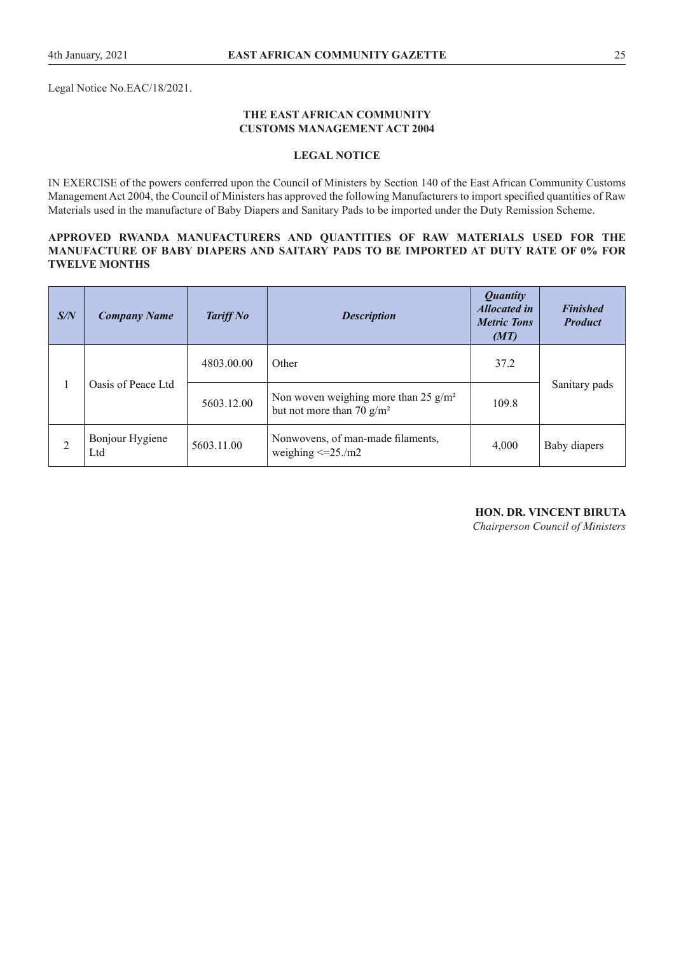Legal Notice No.EAC/18/2021.

#### **THE EAST AFRICAN COMMUNITY CUSTOMS MANAGEMENT ACT 2004**

#### **LEGAL NOTICE**

IN EXERCISE of the powers conferred upon the Council of Ministers by Section 140 of the East African Community Customs Management Act 2004, the Council of Ministers has approved the following Manufacturers to import specifed quantities of Raw Materials used in the manufacture of Baby Diapers and Sanitary Pads to be imported under the Duty Remission Scheme.

#### **APPROVED RWANDA MANUFACTURERS AND QUANTITIES OF RAW MATERIALS USED FOR THE MANUFACTURE OF BABY DIAPERS AND SAITARY PADS TO BE IMPORTED AT DUTY RATE OF 0% FOR TWELVE MONTHS**

| S/N | <b>Company Name</b>    | <b>Tariff No</b> | <b>Description</b>                                                      | <b>Quantity</b><br><b>Allocated in</b><br><b>Metric Tons</b><br>(MT) | <b>Finished</b><br><b>Product</b> |  |
|-----|------------------------|------------------|-------------------------------------------------------------------------|----------------------------------------------------------------------|-----------------------------------|--|
|     |                        | 4803.00.00       | Other                                                                   | 37.2                                                                 |                                   |  |
|     | Oasis of Peace Ltd     | 5603.12.00       | Non woven weighing more than 25 $g/m^2$<br>but not more than 70 $g/m^2$ | 109.8                                                                | Sanitary pads                     |  |
|     | Bonjour Hygiene<br>Ltd | 5603.11.00       | Nonwovens, of man-made filaments,<br>weighing $\leq$ =25./m2            | 4,000                                                                | Baby diapers                      |  |

#### **HON. DR. VINCENT BIRUTA**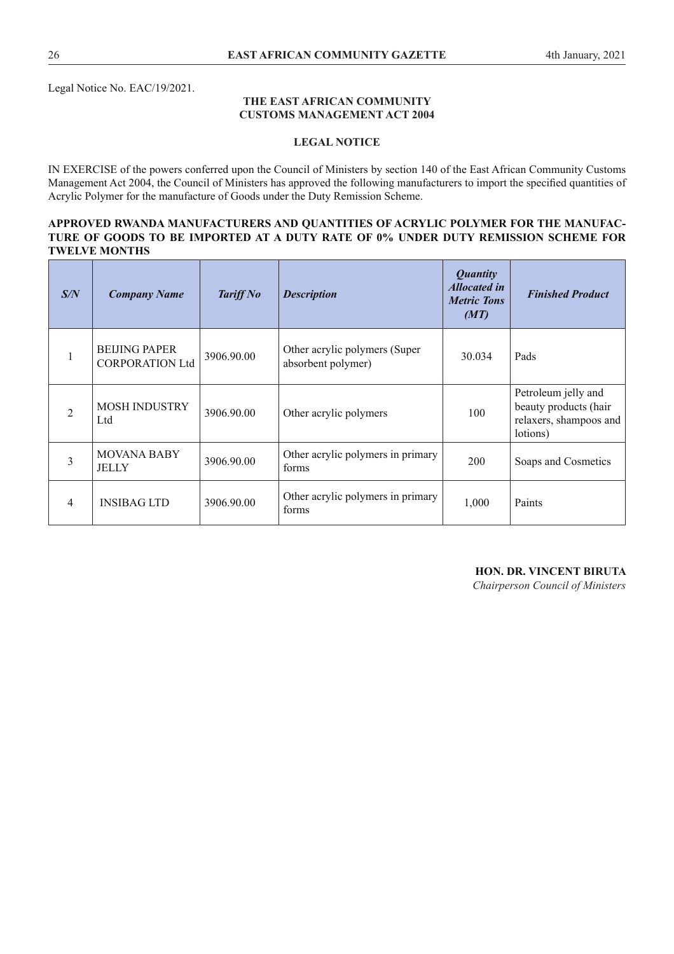Legal Notice No. EAC/19/2021.

#### **THE EAST AFRICAN COMMUNITY CUSTOMS MANAGEMENT ACT 2004**

#### **LEGAL NOTICE**

IN EXERCISE of the powers conferred upon the Council of Ministers by section 140 of the East African Community Customs Management Act 2004, the Council of Ministers has approved the following manufacturers to import the specifed quantities of Acrylic Polymer for the manufacture of Goods under the Duty Remission Scheme.

#### **APPROVED RWANDA MANUFACTURERS AND QUANTITIES OF ACRYLIC POLYMER FOR THE MANUFAC-TURE OF GOODS TO BE IMPORTED AT A DUTY RATE OF 0% UNDER DUTY REMISSION SCHEME FOR TWELVE MONTHS**

| S/N            | <b>Company Name</b>                            | <b>Tariff No</b> | <b>Description</b>                                  | <i><b>Quantity</b></i><br><b>Allocated in</b><br><b>Metric Tons</b><br>(MT) | <b>Finished Product</b>                                                            |
|----------------|------------------------------------------------|------------------|-----------------------------------------------------|-----------------------------------------------------------------------------|------------------------------------------------------------------------------------|
| $\mathbf{1}$   | <b>BEIJING PAPER</b><br><b>CORPORATION Ltd</b> | 3906.90.00       | Other acrylic polymers (Super<br>absorbent polymer) | 30.034                                                                      | Pads                                                                               |
| 2              | <b>MOSH INDUSTRY</b><br>Ltd                    | 3906.90.00       | Other acrylic polymers                              | 100                                                                         | Petroleum jelly and<br>beauty products (hair<br>relaxers, shampoos and<br>lotions) |
| 3              | <b>MOVANA BABY</b><br>JELLY                    | 3906.90.00       | Other acrylic polymers in primary<br>forms          | 200                                                                         | Soaps and Cosmetics                                                                |
| $\overline{4}$ | <b>INSIBAG LTD</b>                             | 3906.90.00       | Other acrylic polymers in primary<br>forms          | 1,000                                                                       | Paints                                                                             |

#### **HON. DR. VINCENT BIRUTA**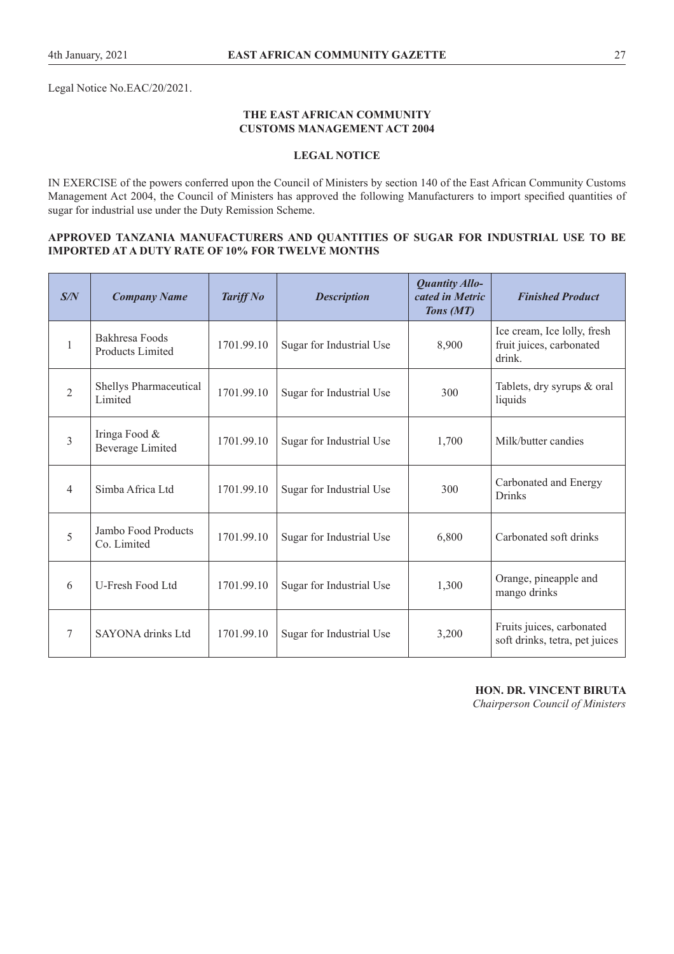Legal Notice No.EAC/20/2021.

#### **THE EAST AFRICAN COMMUNITY CUSTOMS MANAGEMENT ACT 2004**

## **LEGAL NOTICE**

IN EXERCISE of the powers conferred upon the Council of Ministers by section 140 of the East African Community Customs Management Act 2004, the Council of Ministers has approved the following Manufacturers to import specifed quantities of sugar for industrial use under the Duty Remission Scheme.

#### **APPROVED TANZANIA MANUFACTURERS AND QUANTITIES OF SUGAR FOR INDUSTRIAL USE TO BE IMPORTED AT A DUTY RATE OF 10% FOR TWELVE MONTHS**

| S/N            | <b>Company Name</b>                       | <b>Tariff No</b> | <b>Description</b>       | <b>Quantity Allo-</b><br>cated in Metric<br>Tons (MT) | <b>Finished Product</b>                                           |
|----------------|-------------------------------------------|------------------|--------------------------|-------------------------------------------------------|-------------------------------------------------------------------|
| $\mathbf{1}$   | Bakhresa Foods<br><b>Products Limited</b> | 1701.99.10       | Sugar for Industrial Use | 8,900                                                 | Ice cream, Ice lolly, fresh<br>fruit juices, carbonated<br>drink. |
| $\overline{2}$ | Shellys Pharmaceutical<br>Limited         | 1701.99.10       | Sugar for Industrial Use | 300                                                   | Tablets, dry syrups & oral<br>liquids                             |
| 3              | Iringa Food &<br><b>Beverage Limited</b>  | 1701.99.10       | Sugar for Industrial Use | 1,700                                                 | Milk/butter candies                                               |
| 4              | Simba Africa Ltd                          | 1701.99.10       | Sugar for Industrial Use | 300                                                   | Carbonated and Energy<br><b>Drinks</b>                            |
| 5              | Jambo Food Products<br>Co. Limited        | 1701.99.10       | Sugar for Industrial Use | 6,800                                                 | Carbonated soft drinks                                            |
| 6              | U-Fresh Food Ltd                          | 1701.99.10       | Sugar for Industrial Use | 1,300                                                 | Orange, pineapple and<br>mango drinks                             |
| 7              | <b>SAYONA</b> drinks Ltd                  | 1701.99.10       | Sugar for Industrial Use | 3,200                                                 | Fruits juices, carbonated<br>soft drinks, tetra, pet juices       |

**HON. DR. VINCENT BIRUTA**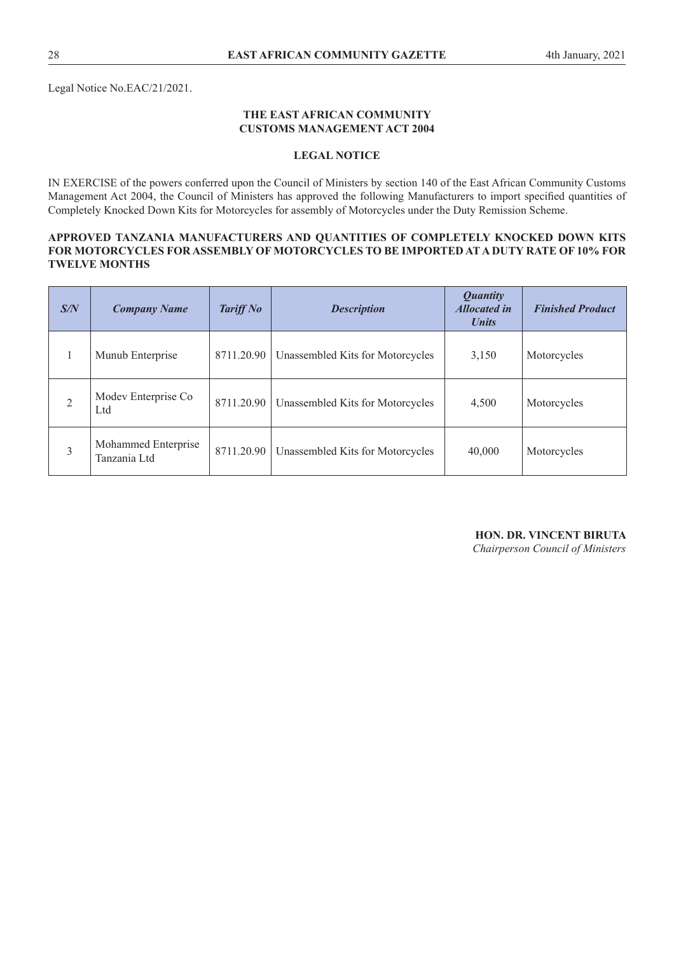Legal Notice No.EAC/21/2021.

#### **THE EAST AFRICAN COMMUNITY CUSTOMS MANAGEMENT ACT 2004**

#### **LEGAL NOTICE**

IN EXERCISE of the powers conferred upon the Council of Ministers by section 140 of the East African Community Customs Management Act 2004, the Council of Ministers has approved the following Manufacturers to import specifed quantities of Completely Knocked Down Kits for Motorcycles for assembly of Motorcycles under the Duty Remission Scheme.

#### **APPROVED TANZANIA MANUFACTURERS AND QUANTITIES OF COMPLETELY KNOCKED DOWN KITS FOR MOTORCYCLES FOR ASSEMBLY OF MOTORCYCLES TO BE IMPORTED AT A DUTY RATE OF 10% FOR TWELVE MONTHS**

| S/N            | <b>Company Name</b>                 | <b>Tariff No</b> | <b>Description</b>               | <b>Quantity</b><br><b>Allocated in</b><br><b>Units</b> | <b>Finished Product</b> |
|----------------|-------------------------------------|------------------|----------------------------------|--------------------------------------------------------|-------------------------|
|                | Munub Enterprise                    | 8711.20.90       | Unassembled Kits for Motorcycles | 3,150                                                  | Motorcycles             |
| $\overline{2}$ | Modev Enterprise Co<br>Ltd          | 8711.20.90       | Unassembled Kits for Motorcycles | 4,500                                                  | Motorcycles             |
| 3              | Mohammed Enterprise<br>Tanzania Ltd | 8711.20.90       | Unassembled Kits for Motorcycles | 40,000                                                 | Motorcycles             |

# **HON. DR. VINCENT BIRUTA**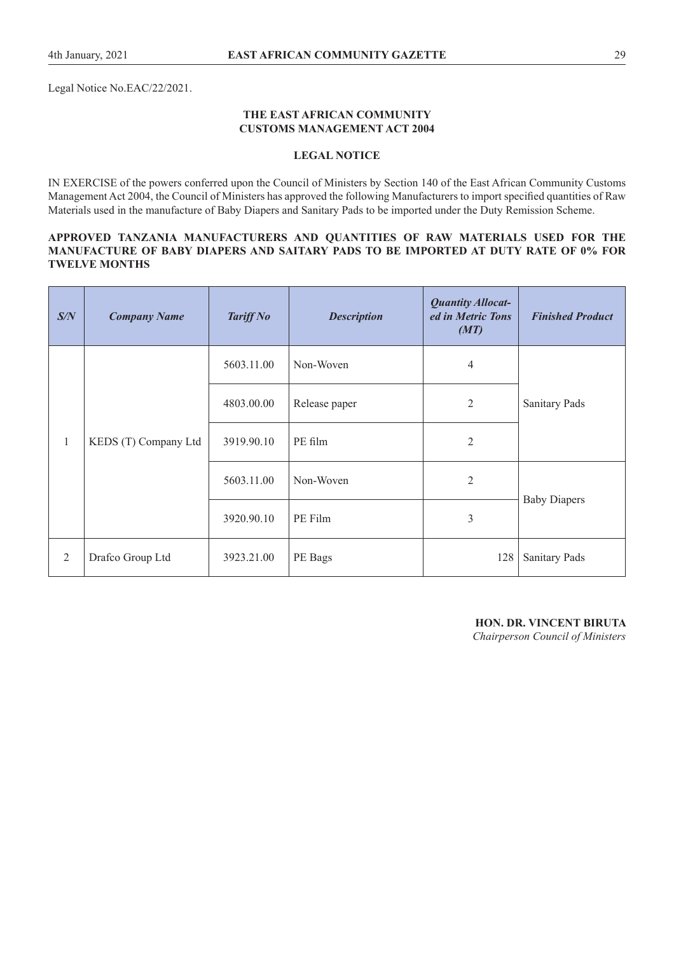Legal Notice No.EAC/22/2021.

#### **THE EAST AFRICAN COMMUNITY CUSTOMS MANAGEMENT ACT 2004**

#### **LEGAL NOTICE**

IN EXERCISE of the powers conferred upon the Council of Ministers by Section 140 of the East African Community Customs Management Act 2004, the Council of Ministers has approved the following Manufacturers to import specifed quantities of Raw Materials used in the manufacture of Baby Diapers and Sanitary Pads to be imported under the Duty Remission Scheme.

#### **APPROVED TANZANIA MANUFACTURERS AND QUANTITIES OF RAW MATERIALS USED FOR THE MANUFACTURE OF BABY DIAPERS AND SAITARY PADS TO BE IMPORTED AT DUTY RATE OF 0% FOR TWELVE MONTHS**

| S/N          | <b>Company Name</b>  | <b>Tariff No</b> | <b>Description</b> | <b>Quantity Allocat-</b><br>ed in Metric Tons<br>(MT) | <b>Finished Product</b> |
|--------------|----------------------|------------------|--------------------|-------------------------------------------------------|-------------------------|
| $\mathbf{1}$ | KEDS (T) Company Ltd | 5603.11.00       | Non-Woven          | $\overline{4}$                                        | <b>Sanitary Pads</b>    |
|              |                      | 4803.00.00       | Release paper      | $\mathfrak{2}$                                        |                         |
|              |                      | 3919.90.10       | PE film            | $\overline{2}$                                        |                         |
|              |                      | 5603.11.00       | Non-Woven          | $\overline{2}$                                        | <b>Baby Diapers</b>     |
|              |                      | 3920.90.10       | PE Film            | $\mathfrak{Z}$                                        |                         |
| $\sqrt{2}$   | Drafco Group Ltd     | 3923.21.00       | PE Bags            | 128                                                   | Sanitary Pads           |

**HON. DR. VINCENT BIRUTA** *Chairperson Council of Ministers*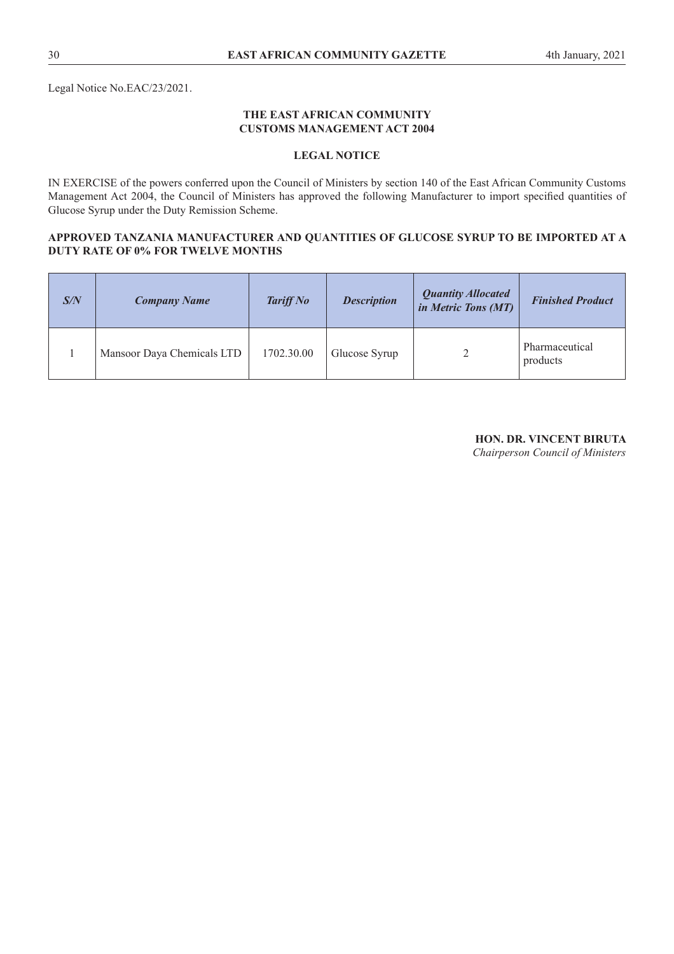Legal Notice No.EAC/23/2021.

#### **THE EAST AFRICAN COMMUNITY CUSTOMS MANAGEMENT ACT 2004**

## **LEGAL NOTICE**

IN EXERCISE of the powers conferred upon the Council of Ministers by section 140 of the East African Community Customs Management Act 2004, the Council of Ministers has approved the following Manufacturer to import specifed quantities of Glucose Syrup under the Duty Remission Scheme.

#### **APPROVED TANZANIA MANUFACTURER AND QUANTITIES OF GLUCOSE SYRUP TO BE IMPORTED AT A DUTY RATE OF 0% FOR TWELVE MONTHS**

| S/N | <b>Company Name</b>        | <b>Tariff No</b> | <b>Description</b> | <b>Quantity Allocated</b><br>in Metric Tons (MT) | <b>Finished Product</b>    |
|-----|----------------------------|------------------|--------------------|--------------------------------------------------|----------------------------|
|     | Mansoor Daya Chemicals LTD | 1702.30.00       | Glucose Syrup      |                                                  | Pharmaceutical<br>products |

**HON. DR. VINCENT BIRUTA**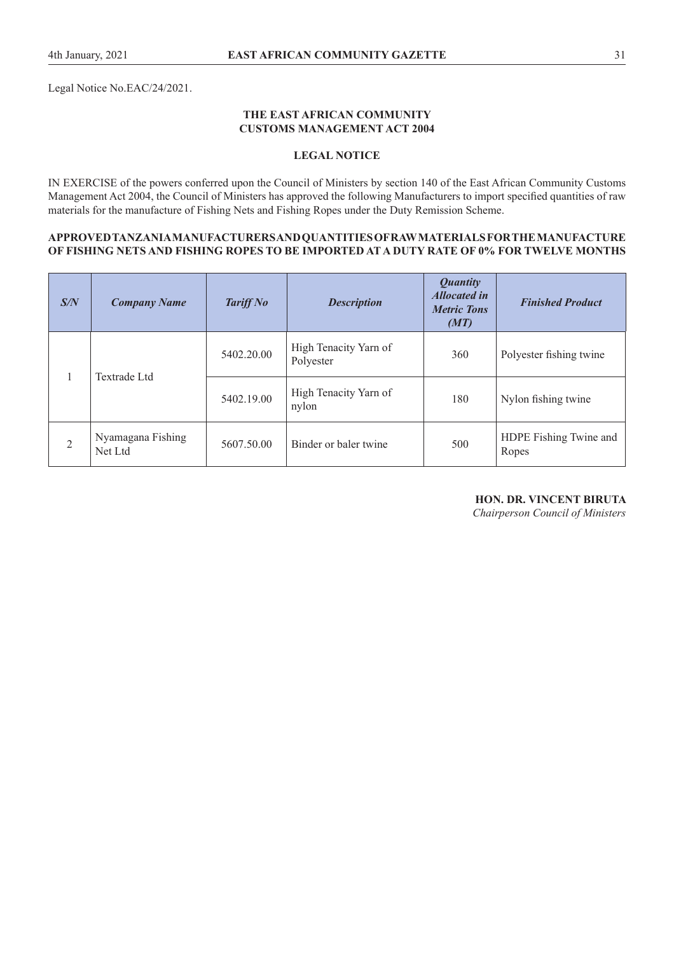Legal Notice No.EAC/24/2021.

#### **THE EAST AFRICAN COMMUNITY CUSTOMS MANAGEMENT ACT 2004**

#### **LEGAL NOTICE**

IN EXERCISE of the powers conferred upon the Council of Ministers by section 140 of the East African Community Customs Management Act 2004, the Council of Ministers has approved the following Manufacturers to import specifed quantities of raw materials for the manufacture of Fishing Nets and Fishing Ropes under the Duty Remission Scheme.

#### **APPROVED TANZANIA MANUFACTURERS AND QUANTITIES OF RAW MATERIALS FOR THE MANUFACTURE OF FISHING NETS AND FISHING ROPES TO BE IMPORTED AT A DUTY RATE OF 0% FOR TWELVE MONTHS**

| S/N            | <b>Company Name</b>          | <b>Tariff No</b> | <b>Description</b>                 | <b>Quantity</b><br><b>Allocated in</b><br><b>Metric Tons</b><br>(MT) | <b>Finished Product</b>         |
|----------------|------------------------------|------------------|------------------------------------|----------------------------------------------------------------------|---------------------------------|
| $\mathbf{1}$   | Textrade Ltd                 | 5402.20.00       | High Tenacity Yarn of<br>Polyester | 360                                                                  | Polyester fishing twine         |
|                |                              | 5402.19.00       | High Tenacity Yarn of<br>nylon     | 180                                                                  | Nylon fishing twine             |
| $\overline{2}$ | Nyamagana Fishing<br>Net Ltd | 5607.50.00       | Binder or baler twine              | 500                                                                  | HDPE Fishing Twine and<br>Ropes |

**HON. DR. VINCENT BIRUTA**